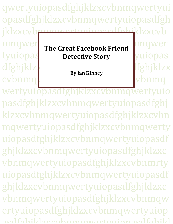qwertyuiopasdfghjklzxcvbnmqwertyui opasdfghjklzxcvbnmqwertyuiopasdfgh jklzxcvbnmqwertyuiopasdfghjklzxcvb nmqwert The Creet Fasebook Friend Imqwert tyuiopas **Detective Story** buiopas dfghjklzxcvbnjklzxcvbnjklzxcvbnjklzxcvbnjklzxcvbnjklzxcvbnjklzxcvbnjklzxcvbnjklzx cvbnmqwertyuingwerthyuide. wertyuiopasdfghjklzxcvbnmqwertyuio **The Great Facebook Friend By Ian Kinney**

pasdfghjklzxcvbnmqwertyuiopasdfghj klzxcvbnmqwertyuiopasdfghjklzxcvbn mqwertyuiopasdfghjklzxcvbnmqwerty uiopasdfghjklzxcvbnmqwertyuiopasdf ghjklzxcvbnmqwertyuiopasdfghjklzxc vbnmqwertyuiopasdfghjklzxcvbnmrty uiopasdfghjklzxcvbnmqwertyuiopasdf ghjklzxcvbnmqwertyuiopasdfghjklzxc vbnmqwertyuiopasdfghjklzxcvbnmqw ertyuiopasdfghjklzxcvbnmqwertyuiop acdfahilzlzvcvzhnmawertyuionacdfahilzl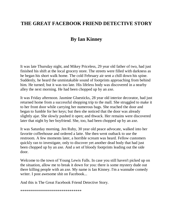### **THE GREAT FACEBOOK FRIEND DETECTIVE STORY**

### **By Ian Kinney**

It was late Thursday night, and Mikey Priceless, 29 year old father of two, had just finished his shift at the local grocery store. The streets were filled with darkness as he began his short walk home. The cold February air sent a chill down his spine. Suddenly, he heard the unmistakable sound of footprints approaching from behind him. He turned; but it was too late. His lifeless body was discovered in a nearby alley the next morning. He had been chopped up by an axe.

It was Friday afternoon. Jasmine Gluesticks, 28 year old interior decorator, had just returned home from a successful shopping trip to the mall. She struggled to make it to her front door while carrying her numerous bags. She reached the door and began to fumble for her keys; but then she noticed that the door was already slightly ajar. She slowly pushed it open; and thwack. Her remains were discovered later that night by her boyfriend. She, too, had been chopped up by an axe.

It was Saturday morning. Jen Ruby, 30 year old peace advocate, walked into her favorite coffeehouse and ordered a latte. She then went outback to use the restroom. A few moments later, a horrible scream was heard. Fellow customers quickly ran to investigate, only to discover yet another dead body that had just been chopped up by an axe. And a set of bloody footprints leading out the side door.

Welcome to the town of Young Lewis Falls. In case you still haven't picked up on the situation, allow me to break it down for you: there is some mystery dude out there killing people with an axe. My name is Ian Kinney. I'm a wannabe comedy writer. I post awesome shit on Facebook...

And this is The Great Facebook Friend Detective Story.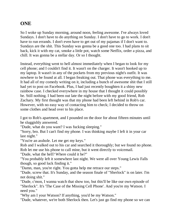### **ONE**

So I woke up Sunday morning, around noon, feeling awesome. I've always loved Sundays. I don't have to do anything on Sunday. I don't have to go to work. I don't have to run errands. I don't even have to get out of my pajamas if I don't want to. Sundays are the shit. This Sunday was gonna be a good one too. I had plans to sit back, kick it with my cat, smoke a little pot, watch some Netflix, order a pizza, and chill. It was gonna be a stellar day. Or so I thought.

Instead, everything went to hell almost immediately when I began to look for my cell phone; and I couldn't find it. It wasn't on the charger. It wasn't hooked up to my laptop. It wasn't in any of the pockets from my previous night's outfit. It was nowhere to be found at all. I began freaking out. That phone was everything to me. It had all of my comedy writing on it, including a bunch of awesome shit that I still had yet to post on Facebook. Plus, I had just recently boughten it a shiny new rainbow case. I checked everywhere in my house that I thought it could possibly be. Still nothing. I had been out late the night before with my good friend, Rob Zachary. My first thought was that my phone had been left behind in Rob's car. However, with no easy way of contacting him to check; I decided to throw on some clothes and head over to his place.

I got to Rob's apartment, and I pounded on the door for about fifteen minutes until he sluggishly answered.

"Dude, what do you want? I was fucking sleeping."

"Sorry, bro. But I can't find my phone. I was thinking maybe I left it in your car last night."

"You're an asshole. Let me get my keys."

Rob and I walked out to his car and searched it thoroughly; but we found no phone. Rob let me use his phone to call mine, but it went directly to voicemail.

"Dude, what the hell? Where could it be?"

"You probably left it somewhere last night. We were all over Young Lewis Falls though, so good luck finding it."

"Damn, man, you're right. You gotta help me retrace our steps."

"Dude, screw that. It's Sunday, and the season finale of "Sherlock" is on later. I'm not doing shit."

"Dude, c'mon, I wanna watch that show too, but this'll be like our own episode of "Sherlock". It's 'The Case of the Missing Cell Phone'. And you're my Watson. I need you."

"Why am I your Watson? If anything, you'd be my Watson."

"Dude, whatever, we're both Sherlock then. Let's just go find my phone so we can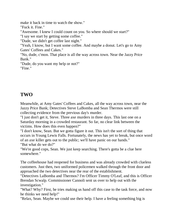make it back in time to watch the show."

"Fuck it. Fine."

"Awesome. I knew I could count on you. So where should we start?"

"I say we start by getting some coffee."

"Dude, we didn't get coffee last night."

"Yeah, I know, but I want some coffee. And maybe a donut. Let's go to Amy Gates' Coffees and Cakes."

"No, dude, c'mon. That place is all the way across town. Near the Jazzy Price Bank."

"Dude, do you want my help or not?" "Fine."

# **TWO**

Meanwhile, at Amy Gates' Coffees and Cakes, all the way across town, near the Jazzy Price Bank; Detectives Steve LaBomba and Sean Thermos were still collecting evidence from the previous day's murder.

"I just don't get it, Steve. Three axe murders in three days. This last one on a Saturday morning in a crowded restaurant. So far, no clear link between the victims. How does this even happen?"

"I don't know, Sean. But we gotta figure it out. This isn't the sort of thing that occurs in Young Lewis Falls. Fortunately, the news has yet to break, but once word of an axe killer gets out to the public; we'll have panic on our hands." "But what do we do?"

"We're good cops, Sean. We just keep searching. There's gotta be a clue here somewhere."

The coffeehouse had reopened for business and was already crowded with clueless customers. Just then, two uniformed policemen walked through the front door and approached the two detectives near the rear of the establishment.

"Detectives LaBomba and Thermos? I'm Officer Timmy O'Leaf, and this is Officer Brendan Scwalp. Commissioner Cannoli sent us over to help out with the investigation."

"What? Why? First, he tries making us hand off this case to the task force, and now he thinks we need help!"

"Relax, Sean. Maybe we could use their help. I have a feeling something big is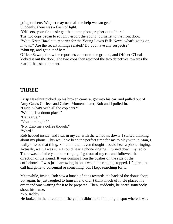going on here. We just may need all the help we can get." Suddenly, there was a flash of light.

"Officers, your first task: get that damn photographer out of here!"

The two cops began to roughly escort the young journalist to the front door.

"Wait, Krisp Hazelnut, reporter for the Young Lewis Falls News, what's going on in town? Are the recent killings related? Do you have any suspects?" "Shut up, and get out of here."

Officer Scwalp threw the reporter's camera to the ground, and Officer O'Leaf kicked it out the door. The two cops then rejoined the two detectives towards the rear of the establishment.

# **THREE**

Krisp Hazelnut picked up his broken camera, got into his car, and pulled out of Amy Gate's Coffees and Cakes. Moments later, Rob and I pulled in.

"Dude, what's with all the cop cars?"

"Well, it is a donut place."

"Haha true."

"You coming in?"

"No, grab me a coffee though."

"Word."

Rob headed inside, and I sat in my car with the windows down. I started thinking about my phone. This would've been the perfect time for me to play with it. Man, I really missed that thing. For a minute, I even thought I could hear a phone ringing. Actually, wait, I was sure I could hear a phone ringing. I turned down my radio. There was definitely a phone ringing. I got out of my car and followed the direction of the sound. It was coming from the bushes on the side of the coffeehouse. I was just narrowing in on it when the ringing stopped. I figured the call had gone to voicemail or something, but I kept searching for it.

Meanwhile, inside, Rob saw a bunch of cops towards the back of the donut shop; but again, he just laughed to himself and didn't think much of it. He placed his order and was waiting for it to be prepared. Then, suddenly, he heard somebody shout his name.

"Yo, Robby!"

He looked in the direction of the yell. It didn't take him long to spot where it was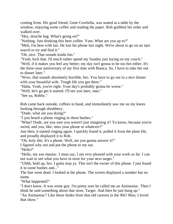coming from. His good friend, Gene Cowbella, was seated at a table by the window, enjoying some coffee and reading the paper. Rob grabbed his order and walked over.

"Hey, douche bag. What's going on?"

"Nothing. Just drinking this here coffee. Yum. What are you up to?"

"Meh, I'm here with Ian. He lost his phone last night. We're about to go on an epic search to try and find it."

"Oh, nice. That sounds kinda fun."

"Yeah, fuck that. I'd much rather spend my Sunday just laying on my couch."

"Well, if it makes you feel any better; my day isn't gonna to be too hot either. It's the three-year anniversary of my first date with Bianca. So, I have to take her out to dinner later."

"Wow, that sounds absolutely horrible, bro. You have to go out to a nice dinner with your beautiful wife. Tough life you got there."

"Haha. Yeah, you're right. Your day's probably gonna be worse."

"Well, let's go get it started. I'll see you later, man."

"See ya, Robby."

Rob came back outside, coffees in hand, and immediately saw me on my knees looking through shrubbery.

"Dude, what are you doing?"

"I just heard a phone ringing in these bushes."

"What? Dude, are you sure you weren't just imagining it? Ya know, because you're weird, and you, like, miss your phone or whatever?"

Just then, it started ringing again. I quickly found it, pulled it from the plant life, and proudly displayed it to Rob.

"Oh, holy shit. It's a phone. Well, are you gonna answer it?"

I figured why not and put the phone to my ear.

"Hello?"

"Hello, my axe maniac. I must say, I am very pleased with your work so far. I can not wait to see what you have in store for your next target."

"Uhhh, hold up, bro. I gotta stop ya. This isn't the owner of this phone. I just found it in some bushes and..."

The line went dead. I looked at the phone. The screen displayed a number but no name.

"What happened?"

"I don't know. It was some guy. I'm pretty sure he called me an Animaniac. Then I think he said something about that store, Target. And then he just hung up."

"An Animaniac? Like those dudes from that old cartoon in the 90s? Man, I loved that show."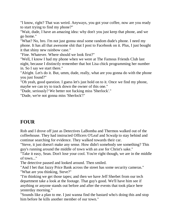"I know, right? That was weird. Anyways, you got your coffee, now are you ready to start trying to find my phone?"

"Wait, dude, I have an amazing idea: why don't you just keep that phone, and we go home."

"What? No, bro. I'm not just gonna steal some random dude's phone. I need my phone. It has all that awesome shit that I post to Facebook on it. Plus, I just bought it that shiny new rainbow case."

"Fine. Whatever. Where should we look first?"

"Well, I know I had my phone when we were at The Famous Friends Club last night, because I distinctly remember that hot Lisa chick programming her number in. So I say we start there."

"Alright. Let's do it. But, umm, dude, really, what are you gonna do with the phone you just found?"

"Oh yeah, good question. I guess let's just hold on to it. Once we find my phone, maybe we can try to track down the owner of this one."

"Dude, seriously? We better not fucking miss 'Sherlock'."

"Dude, we're not gonna miss 'Sherlock'!"

# **FOUR**

Rob and I drove off just as Detectives LaBomba and Thermos walked out of the coffeehouse. They had instructed Officers O'Leaf and Scwalp to stay behind and continue searching for evidence. They walked towards their car.

"Steve, it just doesn't make any sense. How didn't somebody see something? This guy's running around the middle of town with an axe for Christ's sake."

"Take it easy, Sean. Don't lose your cool. You're right though, we are in the middle of town..."

The detective paused and looked around. Then smiled.

"And I bet that Jazzy Price Bank across the street has some security cameras." "What are you thinking, Steve?"

"I'm thinking we get those tapes; and then we have Jeff Sherbet from our tech department take a look at the footage. That guy's good. We'll have him see if anything or anyone stands out before and after the events that took place here yesterday morning."

"Sounds like a plan to me. I just wanna find the bastard who's doing this and stop him before he kills another member of our town."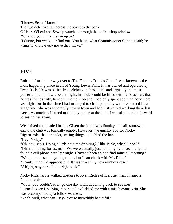"I know, Sean. I know." The two detective ran across the street to the bank. Officers O'Leaf and Scwalp watched through the coffee shop window. "What do you think they're up to?" "I dunno, but we better find out. You heard what Commissioner Cannoli said; he wants to know every move they make."

#### **FIVE**

Rob and I made our way over to The Famous Friends Club. It was known as the most happening place in all of Young Lewis Falls. It was owned and operated by Ryan Rich. He was basically a celebrity in these parts and arguably the most powerful man in town. Every night, his club would be filled with famous stars that he was friends with, hence it's name. Rob and I had only spent about an hour there last night, but in that time I had managed to chat up a pretty waitress named Lisa Magazine. She was apparently new in town and had just started working there last week. As much as I hoped to find my phone at the club; I was also looking forward to seeing her again.

We arrived and headed inside. Given the fact it was Sunday and still somewhat early; the club was basically empty. However, we quickly spotted Nicky Rigamarole, the bartender, setting things up behind the bar. "Hey, Nicky."

"Oh, hey, guys. Doing a little daytime drinking? I like it. So, what'll it be?" "Oh no, nothing for us, man. We were actually just stopping by to see if anyone found a cell phone here last night. I haven't been able to find mine all morning." "Well, no one said anything to me, but I can check with Mr. Rich."

"Thanks, man. I'd appreciate it. It was in a shiny new rainbow case."

"Alright, stay here, I'll be right back."

Nicky Rigamarole walked upstairs to Ryan Rich's office. Just then, I heard a familiar voice.

"Wow, you couldn't even go one day without coming back to see me?" I turned to see Lisa Magazine standing behind me with a mischievous grin. She was accompanied by a fellow waitress.

"Yeah, well, what can I say? You're incredibly beautiful."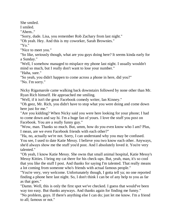She smiled.

I smiled.

"Ahem.."

"Sorry, dude. Lisa, you remember Rob Zachary from last night."

"Oh yeah. Hey. And this is my coworker, Sarah Brownies."

"Yo."

"Nice to meet you."

"So like, seriously though, what are you guys doing here? It seems kinda early for a Sunday."

"Well, I somehow managed to misplace my phone last night. I usually wouldn't mind so much, but I really don't want to lose your number."

"Haha, sure."

"So yeah, you didn't happen to come across a phone in here, did you?" "No. I'm sorry."

Nicky Rigamarole came walking back downstairs followed by none other than Mr. Ryan Rich himself. He approached me smiling.

"Well, if it isn't the great Facebook comedy writer, Ian Kinney."

"Oh geez, Mr. Rich, you didn't have to stop what you were doing and come down here just for me."

"Are you kidding? When Nicky said you were here looking for your phone; I had to come down and say hi. I'm a huge fan of yours. I love the stuff you post on Facebook. You are a really funny guy."

"Wow, man. Thanks so much. But, umm, how do you even know who I am? Plus, I mean, are we even Facebook friends with each other?"

"Ha, no, actually we're not. Sorry, I can understand why you may be confused. You see, I used to date Katie Messy. I believe you two know each other. Anyways, she'd always show me the stuff you'd post. And I absolutely loved it. You're very talented."

"Oh yeah, I know Katie Messy. She owns that small animal hospital, Katie Messy's Messy Kitties. I bring my cat there for his check-ups. But, yeah, man, it's so cool that you like the stuff I post. And thanks for saying I'm talented. That really means a lot coming from someone who's friends with actual famous people."

"You're very, very welcome. Unfortunately though, I gotta tell ya; no one reported finding a phone here last night. So, I don't think I can be of any help to you as far as that goes."

"Damn. Well, this is only the first spot we've checked. I guess that would've been way too easy. But thanks anyways. And thanks again for finding me funny."

"No problem, guys. If there's anything else I can do; just let me know. I'm a friend to all; famous or not."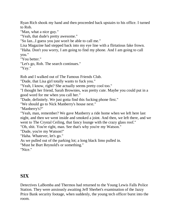Ryan Rich shook my hand and then proceeded back upstairs to his office. I turned to Rob.

"Man, what a nice guy."

"Yeah, that dude's pretty awesome."

"So Ian...I guess you just won't be able to call me."

Lisa Magazine had stepped back into my eye line with a flirtatious fake frown. "Haha. Don't you worry, I am going to find my phone. And I am going to call you."

"You better."

"Let's go, Rob. The search continues."

"Yay."

Rob and I walked out of The Famous Friends Club.

"Dude, that Lisa girl totally wants to fuck you."

"Yeah, I know, right? She actually seems pretty cool too."

"I thought her friend, Sarah Brownies, was pretty cute. Maybe you could put in a good word for me when you call her."

"Dude, definitely. We just gotta find this fucking phone first."

"We should go to Nick Manberry's house next."

"Manberry's?"

"Yeah, man, remember? We gave Manberry a ride home when we left here last night, and then we went inside and smoked a joint. And then, we left there, and we went to The Crystal Ceiling, that fancy lounge with the crazy glass roof."

"Oh, shit. You're right, man. See that's why you're my Watson."

"Dude, you're my Watson!"

"Haha. Whatever, let's go."

As we pulled out of the parking lot; a long black limo pulled in.

"Must be Burt Reynold's or something."

"Nice."

# **SIX**

Detectives LaBomba and Thermos had returned to the Young Lewis Falls Police Station. They were anxiously awaiting Jeff Sherbet's examination of the Jazzy Price Bank security footage, when suddenly, the young tech officer burst into the room.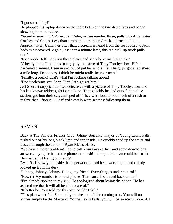"I got something!"

He plopped his laptop down on the table between the two detectives and began showing them the video.

"Saturday morning, 9:47am, Jen Ruby, victim number three, pulls into Amy Gates' Coffees and Cakes. Less than a minute later, this red pick-up truck pulls in. Approximately 8 minutes after that, a scream is heard from the restroom and Jen's body is discovered. Again, less than a minute later, this red pick-up truck pulls out."

"Nice work, Jeff. Let's run those plates and see who owns that truck."

"Already done. It belongs to a guy by the name of Tony Toothyellow. He's a hardened criminal. Been in and out of jail his whole life. The guy's got a rap sheet a mile long. Detectives, I think he might really be your man."

"Finally, a break! That's what I'm fucking talking about!

"Don't celebrate yet, Sean. First, let's go get him."

Jeff Sherbet supplied the two detectives with a picture of Tony Toothyellow and his last known address, 69 Loren Lane. They quickly headed out of the police station, got into their car, and sped off. They were both in too much of a rush to realize that Officers O'Leaf and Scwalp were secretly following them.

#### **SEVEN**

Back at The Famous Friends Club, Johnny Sorrento, mayor of Young Lewis Falls, rushed out of his long black limo and ran inside. He quickly sped up the stairs and busted through the doors of Ryan Rich's office.

"We have a major problem! I go to call Your Guy earlier, and some douche bag answers, saying he found the phone in a bush! I thought this man could be trusted! How is he just losing phones?!?"

Ryan Rich slowly put aside the paperwork he had been working on and calmly looked up from his desk.

"Johnny, Johnny, Johnny. Relax, my friend. Everything is under control."

"How?!? My number is on that phone! This can all be traced back to me!"

"I've already spoken to my guy. He apologized about losing the phone. He has assured me that it will all be taken care of."

"It better be! You told me this plan couldn't fail."

"This plan won't fail. Soon, all your dreams will be coming true. You will no longer simply be the Mayor of Young Lewis Falls; you will be so much more. All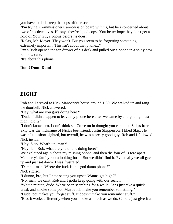you have to do is keep the cops off our scent."

"I'm trying. Commissioner Cannoli is on board with us, but he's concerned about two of his detectives. He says they're 'good cops'. You better hope they don't get a hold of Your Guy's phone before he does!"

"Relax, Mr. Mayor. They won't. But you seem to be forgetting something extremely important. This isn't about that phone..."

Ryan Rich opened the top drawer of his desk and pulled out a phone in a shiny new rainbow case.

"It's about this phone."

#### **Dum! Dum! Dum!**

### **EIGHT**

Rob and I arrived at Nick Manberry's house around 1:30. We walked up and rang the doorbell. Nick answered.

"Hey, what are you guys doing here?"

"Dude, I didn't happen to leave my phone here after we came by and got high last night, did I?"

"I don't know, bro. I don't think so. Come on in though; you can look. Skip's here." Skip was the nickname of Nick's best friend, Justin Skipperson. I liked Skip. He was a little short-sighted, but overall, he was a pretty good guy. Rob and I followed Nick inside.

"Hey, Skip. What's up, man?"

"Hey, Ian, Rob, what are you dildos doing here?"

We explained again about my missing phone, and then the four of us tore apart Manberry's family room looking for it. But we didn't find it. Eventually we all gave up and just sat down. I was frustrated.

"Damnit, man. Where the fuck is this god damn phone?"

Nick sighed.

"I dunno, bro, but I hate seeing you upset. Wanna get high?"

"No, man, we can't. Rob and I gotta keep going with our search."

"Wait a minute, dude. We've been searching for a while. Let's just take a quick

break and smoke some pot. Maybe it'll make you remember something."

"Dude, pot makes you forget stuff. It doesn't make you remember stuff."

"Bro, it works differently when you smoke as much as we do. C'mon, just give it a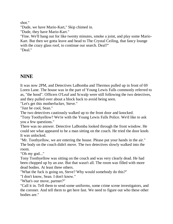shot."

"Dude, we have Mario-Kart," Skip chimed in.

"Dude, they have Mario-Kart."

"Fine. We'll hang out for like twenty minutes, smoke a joint, and play some Mario-Kart. But then we gotta leave and head to The Crystal Ceiling, that fancy lounge with the crazy glass roof, to continue our search. Deal?" "Deal."

### **NINE**

It was now 2PM, and Detectives LaBomba and Thermos pulled up in front of 69 Loren Lane. The house was in the part of Young Lewis Falls commonly referred to as, "the hood". Officers O'Leaf and Scwalp were still following the two detectives, and they pulled over about a block back to avoid being seen.

"Let's get this motherfucker, Steve."

"Just be cool, Sean."

The two detectives cautiously walked up to the front door and knocked.

"Tony Toothyellow? We're with the Young Lewis Falls Police. We'd like to ask you a few questions."

There was no answer. Detective LaBomba looked through the front window. He could see what appeared to be a man sitting on the couch. He tried the door knob. It was unlocked.

"Mr. Toothyellow, we are entering the house. Please put your hands in the air." The body on the couch didn't move. The two detectives slowly walked into the room.

"Oh my god..."

Tony Toothyellow was sitting on the couch and was very clearly dead. He had been chopped up by an axe. But that wasn't all. The room was filled with more dead bodies. At least three others.

"What the fuck is going on, Steve? Why would somebody do this?"

"I don't know, Sean. I don't know."

"What's our move, partner?"

"Call it in. Tell them to send some uniforms, some crime scene investigators, and the coroner. And tell them to get here fast. We need to figure out who these other bodies are."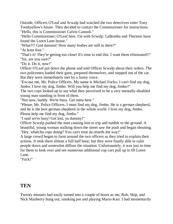Outside, Officers O'Leaf and Scwalp had watched the two detectives enter Tony Toothyellow's house. They decided to contact the Commissioner for instructions. "Hello, this is Commissioner Calvin Cannoli."

"Hello Commissioner; O'Leaf here. I'm with Scwalp. LaBomba and Thermos have found the Loren Lane house."

"What?!? God dammit! How many bodies are still in there?"

"At least four."

"That's it! They're getting too close! It's time to end this. I want them eliminated!!" "Sir, are you sure?"

"Do it. Do it, now!"

Officer O'Leaf put down the phone and told Officer Scwalp about their orders. The two policemen loaded their guns, prepared themselves, and stepped out of the car. But they were immediately met by a funny voice.

"Excuse me, Mr. Police Officers. My name is Michael Fucko. I can't find my dog, Jimbo. I love my dog, Jimbo. Will you help me find my dog, Jimbo?"

The two cops looked up to see what they perceived to be a very mentally-disabled young man standing in front of them.

"Not now, buddy. We're busy. Get outta here."

"Please, Mr. Police Officers. I must find my dog, Jimbo. He is a german shepherd, and he is the best german shepherd in the whole world. I love my dog, Jimbo. Please help me find my dog, Jimbo."

"I said we're busy! Get lost, ya dummy!"

Officer Scwalp pushed the man causing him to trip and tumble to the ground. A beautiful, young woman walking down the street saw the push and began shouting. "Hey, whatchu cops doing? You can't treat da retards dat way!"

A large crowd began to form around the two officers as they tried to explain their actions. It took them almost a full half hour; but they were finally able to calm people down and somewhat diffuse the situation. Unfortunately, it was just in time for them to look over and see numerous additional cop cars pull up to 69 Loren Lane.

"Fuck!"

#### **TEN**

Twenty minutes had easily turned into a couple of hours as me, Rob, Skip, and Nick Manberry hung out, smoking pot and playing Mario-Kart. I had momentarily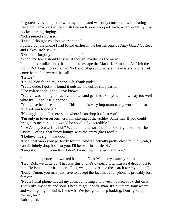forgotten everything to do with my phone and was only concerned with beating these motherfuckers to the finish line on Koopa Troopa Beach, when suddenly; my pocket starting ringing.

Nick seemed surprised.

"Dude, I thought you lost your phone."

I pulled out the phone I had found earlier in the bushes outside Amy Gates' Coffees and Cakes. Rob saw it.

"Oh shit. I forgot you found that thing."

"Yeah, me too. I should answer it though, maybe it's the owner."

I got up and walked into the kitchen to escape the Mario-Kart music. As I left the room, Rob began to explain to Nick and Skip about where this mystery phone had come from. I answered the call.

"Hello?"

"Hello? You found my phone! Oh, thank god!"

"Yeah, dude, I got it. I found it outside the coffee shop earlier."

"The coffee shop! I should've known."

"Yeah, I was hoping to track you down and get it back to you. I know way too well what it's like to lose a phone."

"Yeah, I've been freaking out. This phone is very important to my work. I am so relieved you found it."

"No biggie, man. Is there somewhere I can drop it off to you?"

"I'm only in town on business. I'm staying at the Ashley Saraz Inn. If you could bring it to me here; that would be absolutely incredible."

"The Ashley Saraz Inn, huh? Wait a minute, isn't that the hotel right over by The Crystal Ceiling, that fancy lounge with the crazy glass roof?"

"I believe it's right next door."

"Nice, that works out perfectly for me. And it's actually pretty close by. So, yeah, I can definitely drop it off to you. I'll be over in a little bit."

"Fantastic! I'm in room #44. I don't know how I'll ever thank you."

I hung up the phone and walked back into Nick Manberry's family room.

"Hey, Rob, we gotta go. That was this phone's owner. I told him we'd drop it off to him. He isn't too far from here. Plus, we gotta continue the search for my phone." "Dude, c'mon, you may just have to accept the fact that your phone is probably lost forever."

"Never! That phone has all my comedy writing and awesome Facebook shit on it. That's like my heart and soul. I need to get it back, man. It's out there somewhere, and we're going to find it. I know it! We just gotta keep looking. Don't give up on me yet, bro."

Rob sighed.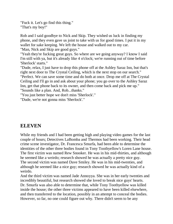"Fuck it. Let's go find this thing." "That's my boy!"

Rob and I said goodbye to Nick and Skip. They wished us luck in finding my phone, and they even gave us joint to take with us for good times. I put it in my wallet for sake keeping. We left the house and walked out to my car. "Man, Nick and Skip are good guys."

"Yeah they're fucking great guys. So where are we going anyway? I know I said I'm still with ya, but it's already like 4 o'clock; we're running out of time before 'Sherlock' starts."

"Dude, relax, I just have to drop this phone off at the Ashley Saraz Inn, but that's right next door to The Crystal Ceiling, which is the next stop on our search." "Perfect. We can save some time and do both at once. Drop me off at The Crystal Ceiling and I'll go in and ask about your phone; you go over to the Ashley Saraz Inn, get that phone back to its owner, and then come back and pick me up." "Sounds like a plan. And, Rob...thanks."

"You just better hope we don't miss 'Sherlock'."

"Dude, we're not gonna miss 'Sherlock'."

### **ELEVEN**

While my friends and I had been getting high and playing video games for the last couple of hours; Detectives LaBomba and Thermos had been working. Their head crime scene investigator, Dr. Francesca Smurfa, had been able to determine the identities of the other three bodies found in Tony Toothyellow's Loren Lane house. The first victim was named Rew Snooker. He was in his mid-thirties, and although he seemed like a weirdo; research showed he was actually a pretty nice guy. The second victim was named Dave Smiley. He was in his mid-twenties, and although he seemed like a nice guy; research showed he was actually kind of a weirdo.

And the third victim was named Jade Annoyya. She was in her early twenties and incredibly beautiful, but research showed she loved to break nice guys' hearts. Dr. Smurfa was also able to determine that, while Tony Toothyellow was killed inside the house; the other three victims appeared to have been killed elsewhere, and then transferred to the location, possibly in an attempt to conceal the bodies. However, so far, no one could figure out why. There didn't seem to be any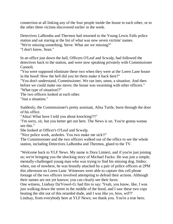connection at all linking any of the four people inside the house to each other, or to the other three victims discovered earlier in the week.

Detectives LaBomba and Thermos had returned to the Young Lewis Falls police station and sat staring at the list of what was now seven victims' names. "We're missing something, Steve. What are we missing?" "I don't know, Sean."

In an office just down the hall, Officers O'Leaf and Scwalp, had followed the detectives back to the station, and were now speaking privately with Commissioner Cannoli.

"You were supposed eliminate these two when they were at the Loren Lane house in the hood! How the hell did you let them make it back here?"

"You don't understand, Commissioner. We ran into, umm, a situation. And then before we could make our move; the house was swarming with other officers." "What type of situation!?"

The two officers looked at each other.

"Just a situation."

Suddenly, the Commissioner's pretty assistant, Alisa Turtle, burst through the door of his office.

"Alisa! What have I told you about knocking!?!"

"I'm sorry, sir, but you better get out here. The News is on. You're gonna wanna see this."

She looked at Officer's O'Leaf and Scwalp.

"Nice police work, assholes. You two make me sick!!"

The Commissioner and the two officers walked out of the office to see the whole station, including Detectives LaBomba and Thermos, glued to the TV.

"Welcome back to YLF News. My name is Dora Limieri, and if you're just joining us; we're bringing you the shocking story of Michael Fucko. He was just a simple, mentally-challenged young man who was trying to find his missing dog, Jimbo; when, out of nowhere, he was brutally attacked by a pair of police officers at 2PM this afternoon on Loren Lane. Witnesses were able to capture this cell phone footage of the two officers involved attempting to defend their actions. Although their names are not yet known; you can clearly see their faces.

One witness, Lindsay Da'Vowel-O, had this to say: 'Yeah, you know, like, I was just walking down the street in the middle of the hood, and I saw these two cops beating the shit out of this retarded dude, and I was like yo, bros, wtf?!' Lindsay, from everybody here at YLF News; we thank you. You're a true hero.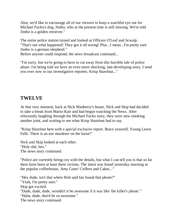Also, we'd like to encourage all of our viewers to keep a watchful eye out for Michael Fucko's dog, Jimbo, who at the present time is still missing. We're told Jimbo is a golden retriever."

The entire police station turned and looked at Officers O'Leaf and Scwalp. "That's not what happened! They got it all wrong! Plus...I mean...I'm pretty sure Jimbo is a german shepherd."

Before anyone could respond; the news broadcast continued...

"I'm sorry, but we're going to have to cut away from this horrible tale of police abuse. I'm being told we have an even more shocking, late-developing story. I send you over now to our investigative reporter, Krisp Hazelnut..."

#### **TWELVE**

At that very moment, back at Nick Manberry's house, Nick and Skip had decided to take a break from Mario-Kart and had begun watching the News. After reluctantly laughing through the Michael Fucko story, they were now smoking another joint, and waiting to see what Krisp Hazelnut had to say.

"Krisp Hazelnut here with a special exclusive report. Brace yourself, Young Lewis Falls. There is an axe murderer on the loose!"

Nick and Skip looked at each other. "Holy shit, bro." The news story continued.

"Police are currently being coy with the details, but what I can tell you is that so far there have been at least three victims. The latest was found yesterday morning at the popular coffeehouse, Amy Gates' Coffees and Cakes..."

"Hey dude, isn't that where Rob said Ian found that phone?" "Yeah, I'm pretty sure." Skip got excited. "Dude, dude, dude, wouldn't it be awesome if it was like 'the killer's phone'." "Haha, dude, that'd be so awesome." The news story continued.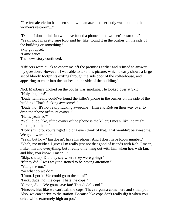"The female victim had been slain with an axe, and her body was found in the women's restroom..."

"Damn, I don't think Ian would've found a phone in the women's restroom." "Yeah, no, I'm pretty sure Rob said he, like, found it in the bushes on the side of the building or something."

Skip got upset.

"Lame sauce."

The news story continued.

"Officers were quick to escort me off the premises earlier and refused to answer my questions. However, I was able to take this picture, which clearly shows a large set of bloody footprints exiting through the side door of the coffeehouse, and appearing to enter into the bushes on the side of the building."

Nick Manberry choked on the pot he was smoking. He looked over at Skip. "Holy shit, bro!"

"Dude, Ian really could've found the killer's phone in the bushes on the side of the building! That's fucking awesome!!"

"Dude, no! It's not really fucking awesome!! Him and Rob on their way over to drop the phone off to its owner!!"

"Haha, yeah, so?"

"Well, dude, like, if the owner of the phone is the killer; I mean, like, he might fucking kill them."

"Holy shit, bro, you're right! I didn't even think of that. That wouldn't be awesome. We gotta warn them!"

"Yeah, but how? Ian doesn't have his phone! And I don't have Rob's number."

"Yeah, me neither. I guess I'm really just not that good of friends with Rob. I mean, I like him and everything, but I really only hang out with him when he's with Ian, and like, you know, I mean..."

"Skip, shutup. Did they say where they were going?"

"If they did; I was way too stoned to be paying attention."

"Yeah, me too."

"So what do we do?"

"Umm. I got it! We could go to the cops!"

"Fuck, dude, not the cops. I hate the cops."

"C'mon, Skip. We gotta save Ian! That dude's cool."

"Fineeee. But like we can't call the cops. They're gonna come here and smell pot. Also, we can't drive to the station. Because like cops don't really dig it when you drive while extremely high on pot."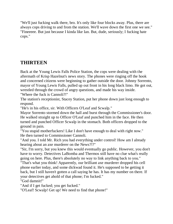"We'll just fucking walk there, bro. It's only like four blocks away. Plus, there are always cops driving to and from the station. We'll wave down the first one we see." "Fineeeee. But just because I kinda like Ian. But, dude, seriously; I fucking hate cops."

# **THIRTEEN**

Back at the Young Lewis Falls Police Station, the cops were dealing with the aftermath of Krisp Hazelnut's news story. The phones were ringing off the hook and concerned citizens were beginning to gather outside the door. Johnny Sorrento, mayor of Young Lewis Falls, pulled up out front in his long black limo. He got out, wrestled through the crowd of angry questions, and made his way inside. "Where the fuck is Cannoli?!"

The station's receptionist, Stacey Station, put her phone down just long enough to respond.

"He's in his office, sir. With Officers O'Leaf and Scwalp."

Mayor Sorrento stormed down the hall and burst through the Commissioner's door. He walked straight up to Officer O'Leaf and punched him in the face. He then turned and punched Officer Scwalp in the stomach. Both officers dropped to the ground in pain.

"You stupid motherfuckers! Like I don't have enough to deal with right now." He then turned to Commissioner Cannoli.

"And you. I told Mr. Rich you had everything under control! How am I already hearing about an axe murderer on the News?!?"

"Sir, I'm sorry, but you knew this would eventually go public. However, you don't have to worry. Detectives LaBomba and Thermos still have no clue what's really going on here. Plus, there's absolutely no way to link anything back to you."

"That's what you think! Apparently, our brilliant axe murderer dropped his cell phone earlier today, and some dickwad found it. He's supposed to be getting it back, but I still haven't gotten a call saying he has. It has my number on there. If your detectives get ahold of that phone; I'm fucked."

"God damnit!"

"And if I get fucked; you get fucked."

"O'Leaf! Scwalp! Get up! We need to find that phone!"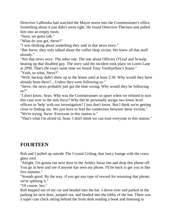Detective LaBomba had watched the Mayor storm into the Commissioner's office. Something about it just didn't seem right. He found Detective Thermos and pulled him into an empty room.

"Sean, we gotta talk."

"What do you got, Steve?"

"I was thinking about something they said in that news story."

"But Steve, they only talked about the coffee shop victim. We knew all that stuff already."

"Not that news story. The other one. The one about Officers O'Leaf and Scwalp beating up that disabled guy. The story said the incident took place on Loren Lane at 2PM. That's the exact same time we found Tony Toothyellow's house."

"Yeah, so what, Steve?"

"Well, backup didn't show up to the house until at least 2:30. Why would they have already been there?....Unless they were following us."

"Steve, the news probably just got the time wrong. Why would they be following us?"

"I don't know, Sean. Why was the Commissioner so upset when we refused to turn this case over to the task force? Why did he personally assign two lower level officers to 'help' with our investigation? I just don't know. But I think we're getting close to finding out. We just have to find the connection between these victims." "We're trying, Steve. Everyone in this station is."

"That's what I'm afraid of, Sean. I don't think we can trust everyone in this station."

# **FOURTEEN**

Rob and I pulled up outside The Crystal Ceiling, that fancy lounge with the crazy glass roof.

"Alright, I'm gonna run next door to the Ashley Saraz Inn and drop this phone off. You go in here and see if anyone has seen my phone. I'll be back to get you in like five minutes."

"Sounds good. By the way, if you get any type of reward for returning that phone; we're splitting it."

"Of course, bro."

Rob hopped out of my car and headed into the bar. I drove over and parked in the parking lot next door, jumped out, and headed into the lobby of the Inn. There was a super cute chick sitting behind the front desk reading a book and listening to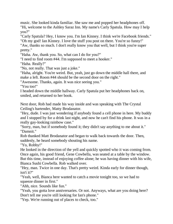music. She looked kinda familiar. She saw me and popped her headphones off. "Hi, welcome to the Ashley Saraz Inn. My name's Carly Spatula. How may I help you?"

"Carly Spatula? Hey, I know you. I'm Ian Kinney. I think we're Facebook friends." "Oh my god! Ian Kinney. I love the stuff you post on there. You're so funny!" "Aw, thanks so much. I don't really know you that well, but I think you're super

pretty."

"Haha. Aw, thank you. So, what can I do for you?"

"I need to find room #44. I'm supposed to meet a hooker."

"Haha. Really?"

"No, not really. That was just a joke."

"Haha, alright. You're weird. But, yeah, just go down the middle hall there, and make a left. Room #44 should be the second door on the right."

"Awesome. Thanks, again. It was nice seeing you."

"You too!"

I headed down the middle hallway. Carly Spatula put her headphones back on, smiled, and returned to her book.

Next door, Rob had made his way inside and was speaking with The Crystal Ceiling's bartender, Matty Brodanator.

"Hey, dude. I was just wondering if anybody found a cell phone in here. My buddy and I stopped by for a drink last night, and now he can't find his phone. It was in a really gay-looking rainbow case."

"Sorry, man, but if somebody found it; they didn't say anything to me about it." "Damnit."

Rob thanked Matt Brodanator and began to walk back towards the door. Then, suddenly, he heard somebody shouting his name.

"Yo, Robby!"

He looked in the direction of the yell and quickly spotted who it was coming from. Once again, his good friend, Gene Cowbella, was seated at a table by the window. But this time, instead of enjoying coffee alone; he was having dinner with his wife, Bianca Sushi Cowbella. Rob walked over.

"Hey, man. Twice in one day. That's pretty weird. Kinda early for dinner though, isn't it?"

"Yeah, well, Bianca here wanted to catch a movie tonight too, so we had to squeeze dinner in first."

"Ahh, nice. Sounds like fun."

"Yeah, you gotta love anniversaries. Or not. Anyways, what are you doing here? Don't tell me you're still looking for Ian's phone."

"Yep. We're running out of places to check, too."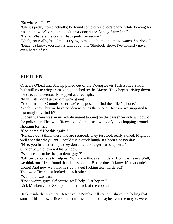"So where is Ian?"

"Oh, it's pretty ironic actually; he found some other dude's phone while looking for his, and now he's dropping it off next door at the Ashley Saraz Inn."

"Haha. What are the odds? That's pretty awesome."

"Yeah, not really, bro. I'm just trying to make it home in time to watch 'Sherlock'." "Dude, ya know, you always talk about this 'Sherlock' show. I've honestly never even heard of it."

# **FIFTEEN**

Officers O'Leaf and Scwalp pulled out of the Young Lewis Falls Police Station, both still recovering from being punched by the Mayor. They began driving down the street and eventually stopped at a red light.

"Man, I still don't get where we're going."

"You heard the Commissioner; we're supposed to find the killer's phone."

"Yeah, I know, but we have no idea who has the phone. How are we supposed to just magically find it?"

Suddenly, there was an incredibly urgent tapping on the passenger side window of the police car. The two officers looked up to see two goofy guys hopping around shouting for help.

"God damnit! Not this again!"

"Relax, I don't think these two are retarded. They just look really stoned. Might as well see what they want. I could use a quick laugh. It's been a heavy day."

"Fine, you just better hope they don't mention a german shepherd."

Officer Scwalp lowered his window.

"What seems to be the problem, guys?"

"Officers, you have to help us. You know that axe murderer from the news? Well, we think our friend found that dude's phone! But he doesn't know it's that dude's phone! And now we think he's gonna get fucking axe murdered!"

The two officers just looked at each other.

"Well, that was easy."

"Don't worry, guys. Of course, we'll help. Just hop in."

Nick Manberry and Skip got into the back of the cop car.

Back inside the precinct, Detective LaBomba still couldn't shake the feeling that some of his fellow officers, the commissioner, and maybe even the mayor, were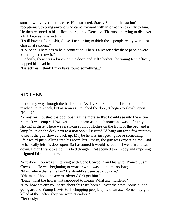somehow involved in this case. He instructed, Stacey Station, the station's receptionist, to bring anyone who came forward with information directly to him. He then returned to his office and rejoined Detective Thermos in trying to discover a link between the victims.

"I still haven't found shit, Steve. I'm starting to think these people really were just chosen at random."

"No, Sean. There has to be a connection. There's a reason why these people were killed. I just know it."

Suddenly, there was a knock on the door, and Jeff Sherbet, the young tech officer, popped his head in.

"Detectives, I think I may have found something..."

#### **SIXTEEN**

I made my way through the halls of the Ashley Saraz Inn until I found room #44. I reached up to knock, but as soon as I touched the door, it began to slowly open. "Hello?"

No answer. I pushed the door open a little more so that I could see into the entire room. It was empty. However, it did appear as though someone was definitely staying in there. There was a suitcase full of clothes on the front of the bed, and a lamp lit up on the desk next to a notebook. I figured I'd hang out for a few minutes to see if the guy showed back up. Maybe he was just getting ice or something. I felt weird just walking into his room, but I mean, the guy was expecting me. And he basically left his door open. So I assumed it would be cool if I went in and sat down. I didn't want to sit on his bed though. That seemed too creepy and imposing. I figured I'd sit at the desk.

Next door, Rob was still talking with Gene Cowbella and his wife, Bianca Sushi Cowbella. He was beginning to wonder what was taking me so long.

"Man, where the hell is Ian? He should've been back by now."

"Oh, man. I hope the axe murderer didn't get him."

"Dude, what the hell is that supposed to mean? What axe murderer?"

"Bro, how haven't you heard about this? It's been all over the news. Some dude's going around Young Lewis Falls chopping people up with an axe. Somebody got killed at the coffee shop we were at earlier."

"Seriously?"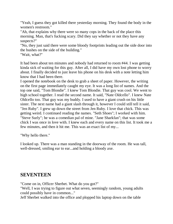"Yeah, I guess they got killed there yesterday morning. They found the body in the women's restroom."

"Ah, that explains why there were so many cops in the back of the place this morning. Man, that's fucking scary. Did they say whether or not they have any suspects?"

"No, they just said there were some bloody footprints leading out the side door into the bushes on the side of the building."

"Wait, what?"

It had been about ten minutes and nobody had returned to room #44. I was getting kinda sick of waiting for this guy. After all, I did have my own lost phone to worry about. I finally decided to just leave his phone on his desk with a note letting him know that I had been there.

I opened the notebook on the desk to grab a sheet of paper. However, the writing on the first page immediately caught my eye. It was a long list of names. And the top one said, "Tom Blondie". I knew Tom Blondie. That guy was cool. We went to high school together. I read the second name. It said, "Nate Oldcello". I knew Nate Oldcello too. That guy was my buddy. I used to have a giant crush on his little sister. The next name had a giant slash through it, however I could still tell it said, "Jen Ruby". I grew up down the street from Jen Ruby. I love that chick. This was getting weird. I continued reading the names. "Seth Shoes"; I worked with him. "Steve Surly"; he was a comedian pal of mine. "Jane Sharkfan"; that was some chick I was once in love with. I knew each and every name on this list. It took me a few minutes, and then it hit me. This was an exact list of my...

"Why hello there."

I looked up. There was a man standing in the doorway of the room. He was tall, well-dressed, smiling ear to ear...and holding a bloody axe.

#### **SEVENTEEN**

"Come on in, Officer Sherbet. What do you got?"

"Well, I was trying to figure out what seven, seemingly random, young adults could possibly have in common..."

Jeff Sherbet walked into the office and plopped his laptop down on the table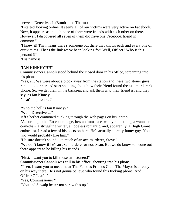between Detectives LaBomba and Thermos.

"I started looking online. It seems all of our victims were very active on Facebook. Now, it appears as though none of them were friends with each other on there. However, I discovered all seven of them did have one Facebook friend in common."

"I knew it! That means there's someone out there that knows each and every one of our victims! That's the link we've been looking for! Well, Officer? Who is this person?!?"

"His name is..."

#### "IAN KINNEY?!?!"

Commissioner Cannoli stood behind the closed door in his office, screaming into his phone.

"Yes, sir. We were about a block away from the station and these two stoner guys run up to our car and start shouting about how their friend found the axe murderer's phone. So, we get them in the backseat and ask them who their friend is; and they say it's Ian Kinney."

"That's impossible!"

"Who the hell is Ian Kinney?"

"Well, Detectives..."

Jeff Sherbet continued clicking through the web pages on his laptop.

"According to his Facebook page, he's an immature twenty-something, a wannabe comedian, a struggling writer, a hopeless romantic, and, apparently, a Hugh Grant enthusiast. I read a few of his posts on here. He's actually a pretty funny guy. You two would probably like him."

"He sure doesn't sound like much of an axe murderer, Steve."

"We don't know if he's an axe murderer or not, Sean. But we do know someone out there appears to be killing his friends."

"First, I want you to kill those two stoners!"

Commissioner Cannoli was still in his office, shouting into his phone.

"Then, I want you to meet me at The Famous Friends Club. The Mayor is already on his way there. He's not gonna believe who found this fucking phone. And Officer O'Leaf..."

"Yes, Commissioner?"

"You and Scwalp better not screw this up."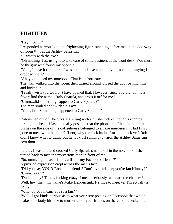### **EIGHTEEN**

"Hey, man...."

I responded nervously to the frightening figure standing before me, in the doorway of room #44, at the Ashley Saraz Inn.

"....what's with the axe?"

"Oh nothing. Just using it to take care of some business at the front desk. You must be the guy who found my phone."

"Yeah, I have it right here. I was about to leave a note in your notebook saying I dropped it off."

"Ah, you opened my notebook. That is unfortunate."

The man walked into the room, then turned around, closed the door behind him, and locked it.

"I really wish you wouldn't have opened that. However, since you did, do me a favor: find the name, Carly Spatula, and cross it off for me."

"Umm...did something happen to Carly Spatula?"

The man smiled and twirled his axe.

"Yeah, bro. Something happened to Carly Spatula."

Rob rushed out of The Crystal Ceiling with a clusterfuck of thoughts running through his head. Was it actually possible that the phone that I had found in the bushes on the side of the coffeehouse belonged to an axe murderer?!? Had I just gone to meet with the killer? If not; why the fuck hadn't I made it back yet? Rob didn't know what to think, but he took off running towards the Ashley Saraz Inn next door.

I did as I was told and crossed Carly Spatula's name off in the notebook. I then turned back to face the mysterious man in front of me.

"So, umm, I gotta ask; is this a list of my Facebook friends?"

A puzzled expression crept across the man's face.

"Did you say YOUR Facebook friends? Don't even tell me; you're Ian Kinney?" "Umm...yeah?"

"Dude, really? That is fucking crazy. I mean, seriously, what are the chances? Well, hey, man; my name's Mike Henderstink. It's nice to meet ya. I'm actually a pretty big fan."

"What do you mean, 'you're a fan?'"

"Well, I got kinda curious as to what you were posting on Facebook that would make somebody hire me to murder all of your friends on there; so I checked out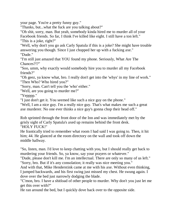your page. You're a pretty funny guy."

"Thanks, but...what the fuck are you talking about?"

"Oh shit, sorry, man. But yeah, somebody kinda hired me to murder all of your Facebook friends. So far, I think I've killed like eight. I still have a ton left." "This is a joke, right?"

"Well, why don't you go ask Carly Spatula if this is a joke? She might have trouble answering you though. Since I just chopped her up with a fucking axe." "Dude."

"I'm still just amazed that YOU found my phone. Seriously, What Are The Chances?!?"

"Soo, umm, why exactly would somebody hire you to murder all my Facebook friends?"

"Oh geez, ya know what, bro. I really don't get into the 'whys' in my line of work." "Then Who? Who hired you?"

"Sorry, man. Can't tell you the 'who' either."

"Well, are you going to murder me?"

"Yepppp."

"I just don't get it. You seemed like such a nice guy on the phone."

"Well, I am a nice guy. I'm a really nice guy. That's what makes me such a great axe murderer. No one ever thinks a nice guy's gonna chop their head off."

Rob sprinted through the front door of the Inn and was immediately met by the grisly sight of Carly Spatula's axed up remains behind the front desk. "HOLY FUCK!"

He frantically tried to remember what room I had said I was going to. Then, it hit him; 44. He glanced at the room directory on the wall and took off down the middle hallway.

"So, listen, man. I'd love to keep chatting with you, but I should really get back to murdering your friends. So, ya know, say your prayers or whatever."

"Dude, please don't kill me. I'm an intellectual. There are only so many of us left." "Sorry, bro. But if it's any consolation; it really was nice meeting you."

And with that, Mike Henderstink came at me with his axe. Without even thinking, I jumped backwards, and his first swing just missed my chest. He swung again. I dove over the bed just narrowly dodging the blade.

"C'mon, bro. I have a shitload of other people to murder. Why don't you just let me get this over with?"

He ran around the bed, but I quickly dove back over to the opposite side.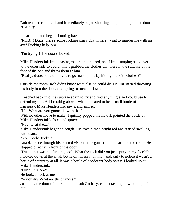Rob reached room #44 and immediately began shouting and pounding on the door. "IAN!!!!"

I heard him and began shouting back.

"ROB!!! Dude, there's some fucking crazy guy in here trying to murder me with an axe! Fucking help, bro!!"

"I'm trying!! The door's locked!!"

Mike Henderstink kept chasing me around the bed, and I kept jumping back over to the other side to avoid him. I grabbed the clothes that were in the suitcase at the foot of the bed and threw them at him.

"Really, dude? You think you're gonna stop me by hitting me with clothes?"

Outside the room, Rob didn't know what else he could do. He just started throwing his body into the door, attempting to break it down.

I reached back into the suitcase again to try and find anything else I could use to defend myself. All I could grab was what appeared to be a small bottle of hairspray. Mike Henderstink saw it and smiled.

"Ha! What are you gonna do with that?!"

With no other move to make; I quickly popped the lid off, pointed the bottle at Mike Henderstink's face, and sprayed.

"Hey, what the...?"

Mike Henderstink began to cough. His eyes turned bright red and started swelling with tears.

"You motherfucker!!"

Unable to see through his blurred vision, he began to stumble around the room. He stopped directly in front of the door.

"Dude, that was not fucking cool! What the fuck did you just spray in my face?!?" I looked down at the small bottle of hairspray in my hand, only to notice it wasn't a bottle of hairspray at all. It was a bottle of deodorant body spray. I looked up at Mike Henderstink.

"Dude...it's 'Axe'."

He looked back at me.

"Seriously? What are the chances?"

Just then, the door of the room, and Rob Zachary, came crashing down on top of him.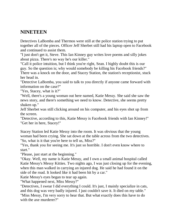# **NINETEEN**

Detectives LaBomba and Thermos were still at the police station trying to put together all of the pieces. Officer Jeff Sherbet still had his laptop open to Facebook and continued to assist them.

"I just don't get it, Steve. This Ian Kinney guy writes love poems and silly jokes about pizza. There's no way he's our killer."

"Call it police intuition, but I think you're right, Sean. I highly doubt this is our guy. So the question is; why would somebody be killing his Facebook friends?" There was a knock on the door, and Stacey Station, the station's receptionist, stuck her head in.

"Detective LaBomba, you said to talk to you directly if anyone came forward with information on the case?"

"Yes, Stacey, what is it?"

"Well, there's a young woman out here named, Katie Messy. She said she saw the news story, and there's something we need to know. Detective, she seems pretty shaken up."

Jeff Sherbet was still clicking around on his computer, and his eyes shot up from the screen.

"Detective, according to this, Katie Messy is Facebook friends with Ian Kinney!" "Get her in here, Stacey!"

Stacey Station led Katie Messy into the room. It was obvious that the young woman had been crying. She sat down at the table across from the two detectives. "So, what is it that you're here to tell us, Miss?"

"Yes, thank you for seeing me. It's just so horrible. I don't even know where to start."

"Please, just start at the beginning."

"Okay. Well, my name is Katie Messy, and I own a small animal hospital called Katie Messy's Messy Kitties. Two nights ago, I was just closing up for the evening, when this man walked in carrying an injured dog. He said he had found it on the side of the road. It looked like it had been hit by a car."

Katie Messy's eyes began to tear up again.

"What happened next, Miss Messy?"

"Detectives, I swear I did everything I could. It's just, I mainly specialize in cats, and this dog was very badly injured. I just couldn't save it. It died on my table." "Miss Messy, I'm very sorry to hear that. But what exactly does this have to do with the axe murderer?"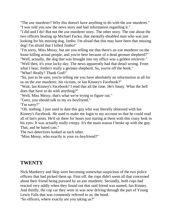"The axe murderer? Why this doesn't have anything to do with the axe murderer." "I was told you saw the news story and had information regarding it."

"I did and I do! But not the axe murderer story. The other story. The one about the two officers beating up Michael Fucko, that mentally-disabled man who was just looking for his missing dog, Jimbo. I'm afraid that this may have been that missing dog! I'm afraid that I killed Jimbo!"

"I'm sorry, Miss Messy, but are you telling me that there's an axe murderer on the loose killing actual people, and you're here because of a dead german shepherd?" "Well, actually, the dog that was brought into my office was a golden retriever."

"Well then, it's your lucky day. The news apparently had that detail wrong. From what I hear, Jimbo's really a german shepherd. So, you're off the hook."

"What? Really? Thank God!"

"So, just to be sure, you're telling me you have absolutely no information at all for us on the axe murderer, his victims, or Ian Kinney's Facebook?"

"Wait, Ian Kinney's Facebook? I read that all the time. He's funny. What the hell does that have to do with anything?"

"Well, Miss Messy, that's what we're trying to figure out."

"Geez, you should talk to my ex-boyfriend."

"I'm sorry?"

"Oh, nothing. I just used to date this guy who was literally obsessed with Ian Kinney's Facebook. He used to make me login to my account so that he could read all of Ian's posts. He'd sit there for hours just staring at them with this crazy look in his eyes. It was actually really creepy. It's the main reason I broke up with the guy. That, and he hated cats."

The two detectives looked at each other.

"Miss Messy, who exactly is your ex-boyfriend?"

#### **TWENTY**

Nick Manberry and Skip were becoming somewhat suspicious of the two police officers that had picked them up. First off, the cops didn't seem all that concerned about their friend being pursued by an axe murderer. Secondly, both cops had reacted very oddly when they found out that said friend was named, Ian Kinney. And thirdly, the cop car they were in was now driving through the part of Young Lewis Falls that was commonly referred to as, the hood. "So officers, where exactly are you taking us?"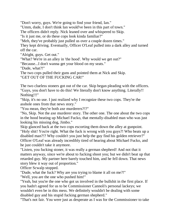"Don't worry, guys. We're going to find your friend, Ian."

"Umm, dude, I don't think Ian would've been in this part of town."

The officers didn't reply. Nick leaned over and whispered to Skip.

"Is it just me, or do these cops look kinda familiar?"

"Meh, they've probably just pulled us over a couple dozen times."

They kept driving. Eventually, Officer O'Leaf pulled into a dark alley and turned off the car.

"Alright, guys. Get out."

"What? We're in an alley in 'the hood'. Why would we get out?"

"Because...I don't wanna get your blood on my seats."

"Dude, what?!"

The two cops pulled their guns and pointed them at Nick and Skip.

"GET OUT OF THE FUCKING CAR!"

The two clueless stoners got out of the car. Skip began pleading with the officers. "Guys, you don't have to do this! We literally don't know anything. Literally!! Nothing!!!"

"Skip, it's no use. I just realized why I recognize these two cops. They're the asshole ones from that news story."

"You mean, they're both axe murderers?!?"

"No, Skip. Not the axe murderer story. The other one. The one about the two cops in the hood beating up Michael Fucko, that mentally-disabled man who was just looking his missing dog, Jimbo."

Skip glanced back at the two cops escorting them down the alley at gunpoint. "Holy shit! You're right. What the fuck is wrong with you guys?! Who beats up a disabled man?!? Why couldn't you just help the guy find his golden retriever?" Officer O'Leaf was already incredibly tired of hearing about Michael Fucko, and he just couldn't take it anymore.

"Listen, you fucking stoner, it was really a german shepherd! And not that it matters anyway, since we're about to fucking shoot you; but we didn't beat up that retarded guy. My partner here barely touched him, and he fell down. That news story blew it way out of proportion."

Officer Scwalp stopped.

"Dude, what the fuck? Why are you trying to blame it all on me?!"

"Well, you are the one who pushed him!"

"Yeah, but you're the one who got us involved in the bullshit in the first place. If you hadn't agreed for us to be Commissioner Cannoli's personal lackeys; we wouldn't even be in this mess. We definitely wouldn't be dealing with some disabled guy and his stupid fucking german shepherd."

"That's not fair. You were just as desperate as I was for the Commissioner to take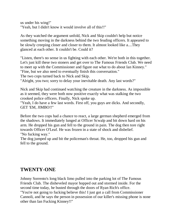us under his wing!" "Yeah, but I didn't know it would involve all of this!!"

As they watched the argument unfold, Nick and Skip couldn't help but notice something moving in the darkness behind the two feuding officers. It appeared to be slowly creeping closer and closer to them. It almost looked like a....They glanced at each other. It couldn't be. Could it?

"Listen, there's no sense in us fighting with each other. We're both in this together. Let's just kill these two stoners and get over to The Famous Friends Club. We need to meet up with the Commissioner and figure out what to do about Ian Kinney." "Fine, but we also need to eventually finish this conversation."

The two cops turned back to Nick and Skip.

"Alright, you two; sorry to delay your inevitable death. Any last words?"

Nick and Skip had continued watching the creature in the darkness. As impossible as it seemed, they were both now positive exactly what was stalking the two crooked police officers. Finally, Nick spoke up.

"Yeah, I do have a few last words. First off, you guys are dicks. And secondly, GET 'EM, JIMBO!!"

Before the two cops had a chance to react, a large german shepherd emerged from the shadows. It immediately lunged at Officer Scwalp and bit down hard on his arm. He dropped his gun and fell to the ground in pain. The dog then tore right towards Officer O'Leaf. He was frozen in a state of shock and disbelief. "No fucking way."

The dog jumped up and bit the policeman's throat. He, too, dropped his gun and fell to the ground.

### **TWENTY-ONE**

Johnny Sorrento's long black limo pulled into the parking lot of The Famous Friends Club. The disheveled mayor hopped out and stormed inside. For the second time today, he busted through the doors of Ryan Rich's office. "You're not going to fucking believe this! I just got a call from Commissioner Cannoli, and he says the person in possession of our killer's missing phone is none other than Ian Fucking Kinney!!"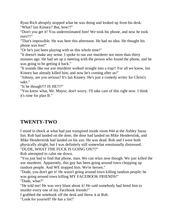Ryan Rich abruptly stopped what he was doing and looked up from his desk. "What? Ian Kinney? But, how!?"

"Don't you get it! You underestimated him! We took his phone, and now he took ours!!!"

"That's impossible. He was here this afternoon. He had no idea. He thought his phone was lost!"

"Or he's just been playing with us this whole time!"

"It doesn't make any sense. I spoke to our axe murderer not more than thirty minutes ago. He had set up a meeting with the person who found the phone, and he was going to be getting it back."

"It sounds like our axe murderer walked straight into a trap!! For all we know, Ian Kinney has already killed him, and now he's coming after us!"

"Johnny, are you serious? It's Ian Kinney. He's just a comedy writer for Christ's sake."

"Is he though?!? IS HE?!?"

"You know what, Mr. Mayor; don't worry. I'll take care of this right now. I think it's time for plan B."

### **TWENTY-TWO**

I stood in shock at what had just transpired inside room #44 at the Ashley Saraz Inn. Rob had landed on the door, the door had landed on Mike Henderstink, and Mike Henderstink had landed on his axe. He was dead. Rob and I were both physically alright, but I was definitely still somewhat emotionally distressed. "DUDE, WHAT THE FUCK IS GOING ON?!?"

Rob attempted to calm me down.

"You just had to find that phone, man. We can relax now though. We just killed the axe murderer. Apparently, this guy has been going around town chopping up random people. And WE stopped him. We're heroes."

"Dude, you don't get it! He wasn't going around town killing random people; he was going around town killing MY FACEBOOK FRIENDS!" "Dude, what?"

"He told me! He was very blunt about it! He said somebody had hired him to murder every one of my Facebook friends!"

I grabbed the notebook off the desk and threw it at Rob.

"Look for yourself! He has a list!"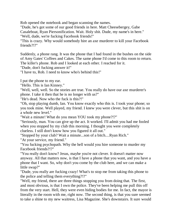Rob opened the notebook and began scanning the names.

"Dude, he's got some of our good friends in here. Matt Cheesebergey, Gabe

Casaleboat, Ryan Piersonification. Wait. Holy shit. Dude, my name's in here."

"Well, dude, we're fucking Facebook friends!"

"This is crazy. Why would somebody hire an axe murderer to kill your Facebook friends?!?"

Suddenly, a phone rang. It was the phone that I had found in the bushes on the side of Amy Gates' Coffees and Cakes. The same phone I'd come to this room to return. The killer's phone. Rob and I looked at each other. I reached for it.

"Dude, don't fucking answer it!"

"I have to, Rob. I need to know who's behind this!"

I put the phone to my ear.

"Hello. This is Ian Kinney."

"Well, well, well. So the stories are true. You really do have our axe murderer's phone. I take it then that he is no longer with us?"

"He's dead. Now who the fuck is this?!"

"Oh, stop playing dumb, Ian. You know exactly who this is. I took your phone; so you took mine. Well played, my friend. I knew you were clever, but this shit is on a whole new level."

"Wait a minute! What do you mean YOU took my phone?!?"

"Seriously, man. You can give up the act. It worked. I'll admit you had me fooled when you stopped by my club this morning. I thought you were completely clueless. I still don't know how you figured it all out."

"Stopped by your club? Wait a minute...son of a bitch....Ryan Rich."

"At your service, my friend."

"You fucking psychopath. Why the hell would you hire someone to murder my Facebook friends?!?"

"You really don't know? Jesus, maybe you're not clever. It doesn't matter now anyway. All that matters now, is that I have a phone that you want, and you have a phone that I want. So, why don't you come by the club here, and we can make a little swap?"

"Dude, you really are fucking crazy! What's to stop me from taking this phone to the police and telling them everything?!?"

"Well, my friend, there are three things stopping you from doing that. The first, and most obvious, is that I own the police. They've been helping me pull this off from the very start. Hell, they were even hiding bodies for me. In fact, the mayor is literally in the room with me, right now. The second thing, is that you sure seemed to take a shine to my new waitress, Lisa Magazine. She's downstairs. It sure would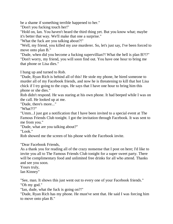be a shame if something terrible happened to her."

"Don't you fucking touch her!"

"Hold on, Ian. You haven't heard the third thing yet. But you know what; maybe it's better that way. We'll make that one a surprise."

"What the fuck are you talking about?!"

"Well, my friend, you killed my axe murderer. So, let's just say, I've been forced to move onto plan B."

"Dude, when did you become a fucking supervillian?! What the hell is plan B?!?" "Don't worry, my friend, you will soon find out. You have one hour to bring me that phone or Lisa dies."

I hung up and turned to Rob.

"Dude, Ryan Rich is behind all of this! He stole my phone, he hired someone to murder all of my Facebook friends, and now he is threatening to kill that hot Lisa chick if I try going to the cops. He says that I have one hour to bring him this phone or she dies."

Rob didn't respond. He was staring at his own phone. It had beeped while I was on the call. He looked up at me.

"Dude, there's more..."

"What?!?"

"Umm...I just got a notification that I have been invited to a special event at The Famous Friends Club tonight. I got the invitation through Facebook. It was sent to me from you."

"Dude, what are you talking about?"

"Look."

Rob showed me the screen of his phone with the Facebook invite.

"Dear Facebook Friends,

As a thank you for reading all of the crazy nonsense that I post on here; I'd like to invite you all to The Famous Friends Club tonight for a super sweet party. There will be complimentary food and unlimited free drinks for all who attend. Thanks and see you soon.

Yours truly,

Ian Kinney"

"See, man. It shows this just went out to every one of your Facebook friends." "Oh my god."

"Ian, dude, what the fuck is going on?!"

"Dude, Ryan Rich has my phone. He must've sent that. He said I was forcing him to move onto plan B."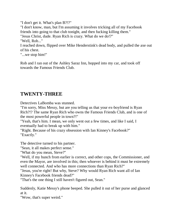"I don't get it. What's plan B?!?" "I don't know, man, but I'm assuming it involves tricking all of my Facebook friends into going to that club tonight, and then fucking killing them." "Jesus Christ, dude. Ryan Rich is crazy. What do we do!?" "Well, Rob..." I reached down, flipped over Mike Henderstink's dead body, and pulled the axe out of his chest. "...we stop him!"

Rob and I ran out of the Ashley Saraz Inn, hopped into my car, and took off towards the Famous Friends Club.

#### **TWENTY-THREE**

Detectives LaBomba was stunned.

"I'm sorry, Miss Messy, but are you telling us that your ex-boyfriend is Ryan Rich?!? The same Ryan Rich who owns the Famous Friends Club, and is one of the most powerful people in town?!"

"Yeah, that's him. I mean, we only went out a few times, and like I said, I eventually had to break up with him."

"Right. Because of his crazy obsession with Ian Kinney's Facebook?" "Exactly."

The detective turned to his partner.

"Sean, it all makes perfect sense."

"What do you mean, Steve?"

"Well, if my hunch from earlier is correct, and other cops, the Commissioner, and even the Mayor, are involved in this; then whoever is behind it must be extremely well connected. And who has more connections than Ryan Rich?"

"Jesus, you're right! But why, Steve? Why would Ryan Rich want all of Ian Kinney's Facebook friends dead?"

"That's the one thing I still haven't figured out, Sean."

Suddenly, Katie Messy's phone beeped. She pulled it out of her purse and glanced at it.

"Wow, that's super weird."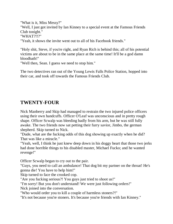"What is it, Miss Messy?" "Well, I just got invited by Ian Kinney to a special event at the Famous Friends Club tonight." "WHAT?!!?" "Yeah, it shows the invite went out to all of his Facebook friends."

"Holy shit, Steve, if you're right, and Ryan Rich is behind this; all of his potential victims are about to be in the same place at the same time! It'll be a god damn bloodbath!"

"Well then, Sean. I guess we need to stop him."

The two detectives ran out of the Young Lewis Falls Police Station, hopped into their car, and took off towards the Famous Friends Club.

### **TWENTY-FOUR**

Nick Manberry and Skip had managed to restrain the two injured police officers using their own handcuffs. Officer O'Leaf was unconscious and in pretty rough shape. Officer Scwalp was bleeding badly from his arm, but he was still fully awake. The two friends now sat petting their furry savior, Jimbo, the german shepherd. Skip turned to Nick.

"Dude, what are the fucking odds of this dog showing up exactly when he did? That was like a miracle."

"Yeah, well, I think he just knew deep down in his doggy heart that those two jerks had done horrible things to his disabled master, Michael Fucko; and he wanted revenge!"

Officer Scwalp began to cry out to the pair.

"Guys, you need to call an ambulance! That dog bit my partner on the throat! He's gonna die! You have to help him!"

Skip turned to face the crooked cop.

"Are you fucking serious?! You guys just tried to shoot us!"

"I'm sorry! But you don't understand! We were just following orders!"

Nick joined into the conversation.

"Who would order you to kill a couple of harmless stoners?!"

"It's not because you're stoners. It's because you're friends with Ian Kinney."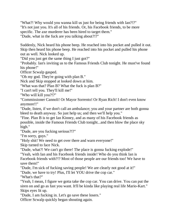"What?! Why would you wanna kill us just for being friends with Ian?!?" "It's not just you. It's all of his friends. Or, his Facebook friends, to be more specific. The axe murderer has been hired to target them." "Dude, what in the fuck are you talking about?!?"

Suddenly, Nick heard his phone beep. He reached into his pocket and pulled it out. Skip then heard his phone beep. He reached into his pocket and pulled his phone out as well. Nick looked up.

"Did you just get the same thing I just got?"

"Probably. Ian's inviting us to the Famous Friends Club tonight. He must've found his phone!"

Officer Scwalp gasped.

"Oh my god. They're going with plan B."

Nick and Skip stopped at looked down at him.

"What was that? Plan B? What the fuck is plan B?"

"I can't tell you. They'll kill me!"

"Who will kill you?!?"

"Commissioner Cannoli! Or Mayor Sorrento! Or Ryan Rich! I don't even know anymore!!"

"Dude, listen, if we don't call an ambulance; you and your partner are both gonna bleed to death anyway. So just help us; and then we'll help you."

"Fine. Plan B is to get Ian Kinney, and as many of his Facebook friends as possible, inside the Famous Friends Club tonight...and then blow the place sky high."

"Dude, are you fucking serious?!?"

"I'm sorry, guys."

"Holy shit! We need to get over there and warn everyone!"

Skip turned to face Nick.

"Dude, what?! We can't go there! The place is gonna fucking explode!"

"Yeah, with Ian and his Facebook friends inside! Who do you think Ian is Facebook friends with?!? Most of those people are our friends too! We have to save them!"

"Dude, I'm sick of fucking saving people! We are clearly not good at it!"

"Dude, we have to try! Plus, I'll let YOU drive the cop car."

"What's that?"

"Yeah, I mean, I figure we gotta take the cop car. You can drive. You can put the siren on and go as fast you want. It'll be kinda like playing real life Mario-Kart." Skips eyes lit up.

"Dude, I am fucking in. Let's go save these losers."

Officer Scwalp quickly began shouting again.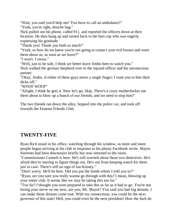"Wait, you said you'd help me! You have to call an ambulance!"

"Yeah, you're right, douche bag."

Nick pulled out his phone, called 911, and reported the officers down at their location. He then hung up and turned back to the hurt cop who was eagerly expressing his gratitude.

"Thank you! Thank you both so much!"

"Yeah, so how do we know you're not going to contact your evil bosses and warn them about us, as soon as we leave?"

"I won't. I swear."

"Well, just to be safe, I think we better leave Jimbo here to watch you."

Nick walked the german shepherd over to the injured officer and his unconscious partner.

"Okay, Jimbo, if either of these guys move a single finger; I want you to bite their dicks off."

"WOOF WOOF"

"Alright, I think he gets it. Now let's go, Skip. There's a crazy motherfucker out there about to blow up a bunch of our friends; and we need to stop him!"

The two friends ran down the alley, hopped into the police car, and took off towards the Famous Friends Club.

### **TWENTY-FIVE**

Ryan Rich stood in his office, watching through his window, as more and more people began arriving at his club in response to his phony Facebook invite. Mayor Sorrento had been downstairs briefly but now returned to the room.

"Commissioner Cannoli is here. He's still worried about those two detectives. He's afraid they're starting to figure things out. He's out front keeping watch for them just in case. There's still no sign of Ian Kinney."

"Don't worry. He'll be here. Did you put the bomb where I told you to?" "Ryan, are you sure you really wanna go through with this? I mean, blowing up your entire club. It seems like we may be taking this too far."

"Too far? I thought you were prepared to take this as far as it had to go. You're not losing your nerve on me now, are you, Mr. Mayor? You said you had big dreams. I can make those dreams come true. With my connections, you could be the next governor of this state! Hell, you could even be the next president! How the fuck do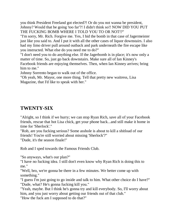you think President Freeland got elected?! Or do you not wanna be president, Johnny? Would that be going 'too far'?! I didn't think so!! NOW DID YOU PUT THE FUCKING BOMB WHERE I TOLD YOU TO OR NOT!?"

"I'm sorry, Mr. Rich. Forgive me. Yes, I hid the bomb in that case of Jagermeister just like you said to. And I put it with all the other cases of liquor downstairs. I also had my limo driver pull around outback and park underneath the fire escape like you instructed. What else do you need me to do?"

"I don't need you to do anything else. If the Jagerbomb is in place; it's now only a matter of time. So, just go back downstairs. Make sure all of Ian Kinney's Facebook friends are enjoying themselves. Then, when Ian Kinney arrives; bring him to me."

Johnny Sorrento began to walk out of the office.

"Oh yeah, Mr. Mayor, one more thing. Tell that pretty new waitress, Lisa Magazine, that I'd like to speak with her."

### **TWENTY-SIX**

"Alright, so I think if we hurry; we can stop Ryan Rich, save all of your Facebook friends, rescue that hot Lisa chick, get your phone back...and still make it home in time for 'Sherlock'."

"Rob, are you fucking serious? Some asshole is about to kill a shitload of our friends! You're still worried about missing 'Sherlock'?" "Dude, it's the season finale!"

Rob and I sped towards the Famous Friends Club.

"So anyways, what's our plan?"

"I have no fucking idea. I still don't even know why Ryan Rich is doing this to me."

"Well, bro, we're gonna be there in a few minutes. We better come up with something."

"I guess I'm just going to go inside and talk to him. What other choice do I have?" "Dude, what? He's gonna fucking kill you."

"Yeah, maybe. But I think he's gonna try and kill everybody. So, I'll worry about him, and you just worry about getting our friends out of that club."

"How the fuck am I supposed to do that?"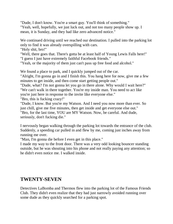"Dude, I don't know. You're a smart guy. You'll think of something." "Yeah, well, hopefully, we just luck out, and not too many people show up. I mean, it is Sunday, and they had like zero advanced notice."

We continued driving until we reached our destination. I pulled into the parking lot only to find it was already overspilling with cars.

"Holy shit, bro!"

"Well, there goes that. There's gotta be at least half of Young Lewis Falls here!" "I guess I just have extremely faithful Facebook friends."

"Yeah, or the majority of them just can't pass up free food and alcohol."

We found a place to park, and I quickly jumped out of the car.

"Alright, I'm gonna go in and I finish this. You hang here for now, give me a few minutes to get inside, and then come start getting people out."

"Dude, what? I'm not gonna let you go in there alone. Why would I wait here?" "We can't walk in there together. You're my inside man. You need to act like you're just here in response to the invite like everyone else."

"Bro, this is fucking crazy!"

"Dude, I know. But you're my Watson. And I need you now more than ever. So just chill, give me five minutes, then get inside and get everyone else out." "Bro, for the last time, YOU are MY Watson. Now, be careful. And dude, seriously, don't fucking die."

I nervously began walking through the parking lot towards the entrance of the club. Suddenly, a speeding car pulled in and flew by me, coming just inches away from running me over.

"Man, I'm gonna die before I even get in this place."

I made my way to the front door. There was a very odd looking bouncer standing outside, but he was shouting into his phone and not really paying any attention; so he didn't even notice me. I walked inside.

#### **TWENTY-SEVEN**

Detectives LaBomba and Thermos flew into the parking lot of the Famous Friends Club. They didn't even realize that they had just narrowly avoided running over some dude as they quickly searched for a parking spot.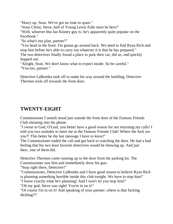"Hurry up, Sean. We've got no time to spare."

"Jesus Christ, Steve, half of Young Lewis Falls must be here!"

"Well, whoever this Ian Kinney guy is; he's apparently quite popular on the Facebook."

"So what's our plan, partner?"

"You head in the front. I'm gonna go around back. We need to find Ryan Rich and stop him before he's able to carry out whatever it is that he has prepared." The two detectives finally found a place to park their car, did so, and quickly

hopped out.

"Alright, Sean. We don't know what to expect inside. So be careful." "You too, partner."

Detective LaBomba took off to make his way around the building. Detective Thermos took off towards the front door.

# **TWENTY-EIGHT**

Commissioner Cannoli stood just outside the front door of the Famous Friends Club shouting into his phone.

"I swear to God, O'Leaf, you better have a good reason for not returning my calls! I told you two assholes to meet me at the Famous Friends Club! Where the fuck are you?! This better be the last message I have to leave!"

The Commissioner ended the call and got back to watching the door. He had a bad feeling that his two least favorite detectives would be showing up. And just then...one of them did.

Detective Thermos came running up to the door from the parking lot. The Commissioner saw him and immediately drew his gun.

"Stop right there, Detective!"

"Commissioner, Detective LaBomba and I have good reason to believe Ryan Rich is planning something horrible inside this club tonight. We have to stop him!"

"I know exactly what he's planning! And I won't let you stop him!"

"Oh my god, Steve was right! You're in on it!"

"Of course I'm in on it! And speaking of your partner; where is that fucking dickbag?!"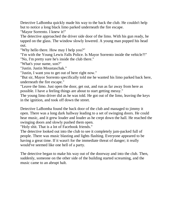Detective LaBomba quickly made his way to the back the club. He couldn't help but to notice a long black limo parked underneath the fire escape.

"Mayor Sorrento. I knew it!"

The detective approached the driver side door of the limo. With his gun ready, he tapped on the glass. The window slowly lowered. A young man popped his head out.

"Why hello there. How may I help you?"

"I'm with the Young Lewis Falls Police. Is Mayor Sorrento inside the vehicle?!" "No, I'm pretty sure he's inside the club there."

"What's your name, son?"

"Justin. Justin Moustaschak."

"Justin, I want you to get out of here right now."

"But sir, Mayor Sorrento specifically told me he wanted his limo parked back here, underneath the fire escape."

"Leave the limo. Just open the door, get out, and run as far away from here as possible. I have a feeling things are about to start getting messy."

The young limo driver did as he was told. He got out of the limo, leaving the keys in the ignition, and took off down the street.

Detective LaBomba found the back door of the club and managed to jimmy it open. There was a long dark hallway leading to a set of swinging doors. He could hear music, and it grew louder and louder as he crept down the hall. He reached the swinging doors and slowly pushed them open.

"Holy shit. That is a lot of Facebook friends."

The detective looked out into the club to see it completely jam-packed full of people. There was music blasting and lights flashing. Everyone appeared to be having a great time. If it wasn't for the immediate threat of danger; it really would've seemed like one hell of a party.

The detective began to make his way out of the doorway and into the club. Then, suddenly, someone on the other side of the building started screaming, and the music came to an abrupt halt.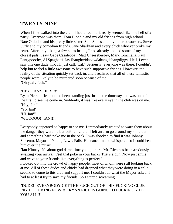### **TWENTY-NINE**

When I first walked into the club, I had to admit; it really seemed like one hell of a party. Everyone was there. Tom Blondie and my old friends from high school. Nate Oldcello and his pretty little sister. Seth Shoes and my other coworkers. Steve Surly and my comedian friends. Jane Sharkfan and every chick whoever broke my heart. After only taking a few steps inside, I had already spotted some of my closest pals. I saw Gabe Casaleboat, Matt Cheesebergey, Mark Coachella, Paul Pantypoochy, Al Spaghetti, Jay Ibaughwidabawdabangdabangdiggy. Hell, I even saw this one dude who I'll just call, 'Cak'. Seriously, everyone was there. I couldn't help but to feel a little awesome to have such supportive friends. However, the reality of the situation quickly set back in, and I realized that all of these fantastic people were likely to be murdered soon because of me. "Oh yeah, fuck."

#### "HEY! IAN'S HERE!!"

Ryan Piersonification had been standing just inside the doorway and was one of the first to see me come in. Suddenly, it was like every eye in the club was on me. "Hey, Ian!"

"Yo, Ian!" "Hi, Ian!" "WOOOOO!! IAN!!!!"

Everybody appeared so happy to see me. I immediately wanted to warn them about the danger they were in, but before I could, I felt an arm go around my shoulder and something hard poke me in the back. I was shocked to find it was Johnny Sorrento, Mayor of Young Lewis Falls. He leaned in and whispered so I could hear him over the music.

"Ian Kinney. It's about god damn time you got here. Mr. Rich has been anxiously awaiting your arrival. Feel that poke in your back? That's a gun. Now just smile and wave to your friends like everything is perfect."

I looked out into the crowd of happy people, most of whom were still looking back at me. All of these dudes and chicks had dropped what they were doing in a split second to come to this club and support me. I couldn't do what the Mayor asked. I had to at least try to save my friends. So I started screaming.

#### "DUDE!! EVERYBODY GET THE FUCK OUT OF THIS FUCKING CLUB RIGHT FUCKING NOW!!!!! RYAN RICH IS GOING TO FUCKING KILL YOU ALL!!!!"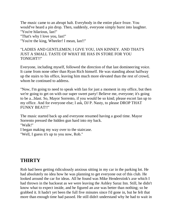The music came to an abrupt halt. Everybody in the entire place froze. You would've heard a pin drop. Then, suddenly, everyone simply burst into laughter. "You're hilarious, Ian!" "That's why I love you, Ian!"

"You're the king, Wheeler! I mean, Ian!!"

#### "LADIES AND GENTLEMEN; I GIVE YOU, IAN KINNEY. AND THAT'S JUST A SMALL TASTE OF WHAT HE HAS IN STORE FOR YOU TONIGHT!!"

Everyone, including myself, followed the direction of that last domineering voice. It came from none other than Ryan Rich himself. He was standing about halfway up the stairs to his office, leaving him much more elevated than the rest of crowd, whom he continued to address.

"Now, I'm going to need to speak with Ian for just a moment in my office, but then we're going to get on with our super sweet party! Believe me, everyone; it's going to be a...blast. So, Mayor Sorrento, if you would be so kind; please escort Ian up to my office. And for everyone else; I ask, DJ P. Nasty, to please DROP THAT FUNKY BEAT!!"

The music started back up and everyone resumed having a good time. Mayor Sorrento pressed the hidden gun hard into my back. "Walk!"

I began making my way over to the staircase. "Well, I guess it's up to you now, Rob."

# **THIRTY**

Rob had been getting ridiculously anxious sitting in my car in the parking lot. He had absolutely no idea how he was planning to get everyone out of this club. He looked around the car for ideas. All he found was Mike Henderstink's axe which I had thrown in the backseat as we were leaving the Ashley Saraz Inn. Still, he didn't know what to expect inside, and he figured an axe was better than nothing; so he grabbed it. It hadn't yet been the full five minutes since I'd gone in, but he felt that more than enough time had passed. He still didn't understand why he had to wait in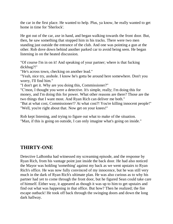the car in the first place. He wanted to help. Plus, ya know, he really wanted to get home in time for 'Sherlock'.

He got out of the car, axe in hand, and began walking towards the front door. But, then, he saw something that stopped him in his tracks. There were two men standing just outside the entrance of the club. And one was pointing a gun at the other. Rob dove down behind another parked car to avoid being seen. He began listening in on the heated discussion.

"Of course I'm in on it! And speaking of your partner; where is that fucking dickbag?!"

"He's across town, checking on another lead."

"Yeah, nice try, asshole. I know he's gotta be around here somewhere. Don't you worry, I'll find him."

"I don't get it. Why are you doing this, Commissioner?"

"C'mon, I thought you were a detective. It's simple, really; I'm doing this for money, and I'm doing this for power. What other reasons are there? Those are the two things that I want most. And Ryan Rich can deliver me both."

"But at what cost, Commissioner!? At what cost?! You're killing innocent people!" "Well, you're right about that. Now get on your knees!"

Rob kept listening, and trying to figure out what to make of the situation. "Man, if this is going on outside, I can only imagine what's going on inside."

### **THIRTY-ONE**

Detective LaBomba had witnessed my screaming episode, and the response by Ryan Rich, from his vantage point just inside the back door. He had also noticed the Mayor was holding 'something' against my back as we went upstairs to Ryan Rich's office. He was now fully convinced of my innocence, but he was still very much in the dark of Ryan Rich's ultimate plan. He was also curious as to why his partner had yet to come through the front door, but he figured Sean could take care of himself. Either way, it appeared as though it was up to him to get upstairs and find out what was happening in that office. But how? Then he realized; the fire escape outback! He took off back through the swinging doors and down the long dark hallway.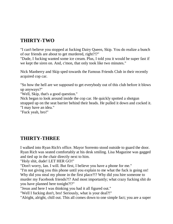# **THIRTY-TWO**

"I can't believe you stopped at fucking Dairy Queen, Skip. You do realize a bunch of our friends are about to get murdered, right?!?"

"Dude, I fucking wanted some ice cream. Plus, I told you it would be super fast if we kept the siren on. And, c'mon, that only took like two minutes."

Nick Manberry and Skip sped towards the Famous Friends Club in their recently acquired cop car.

"So how the hell are we supposed to get everybody out of this club before it blows up anyways?"

"Well, Skip, that's a good question."

Nick began to look around inside the cop car. He quickly spotted a shotgun strapped up on the seat barrier behind their heads. He pulled it down and cocked it. "I may have an idea."

"Fuck yeah, bro!"

#### **THIRTY-THREE**

I walked into Ryan Rich's office. Mayor Sorrento stood outside to guard the door. Ryan Rich was seated comfortably at his desk smiling. Lisa Magazine was gagged and tied up in the chair directly next to him.

"Holy shit, dude! LET HER GO!"

"Don't worry, Ian. I will. But first, I believe you have a phone for me."

"I'm not giving you this phone until you explain to me what the fuck is going on! Why did you steal my phone in the first place?!? Why did you hire someone to murder my Facebook friends?!? And most importantly; what crazy fucking shit do you have planned here tonight?!?"

"Jesus and here I was thinking you had it all figured out."

"Well I fucking don't, bro! Seriously, what is your deal?!"

"Alright, alright, chill out. This all comes down to one simple fact; you are a super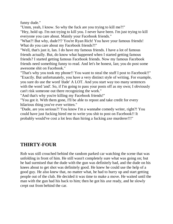funny dude."

"Umm, yeah, I know. So why the fuck are you trying to kill me?!" "Hey, hold up. I'm not trying to kill you. I never have been. I'm just trying to kill everyone you care about. Mainly your Facebook friends."

"What?! But why, dude?!? You're Ryan Rich! You have your famous friends! What do you care about my Facebook friends?!"

"Well, that's just it, Ian. I do have my famous friends. I have a lot of famous friends actually. But, do know what happened when I started getting famous friends? I started getting famous Facebook friends. Now my famous Facebook friends need something funny to read. And let's be honest, Ian; you do post some awesome shit on Facebook."

"That's why you took my phone!! You want to steal the stuff I post to Facebook!!" "Exactly. But unfortunately, you have a very distinct style of writing. For example, you sure do use the word 'dude' A LOT. And you start way too many sentences with the word 'and'. So, if I'm going to pass your posts off as my own; I obviously can't risk someone out there recognizing the work."

"And that's why you're killing my Facebook friends!"

"You got it. With them gone, I'll be able to repost and take credit for every hilarious thing you've ever written."

"Dude, are you serious?! You know I'm a wannabe comedy writer, right?! You could have just fucking hired me to write you shit to post on Facebook!! It probably would've cost a lot less than hiring a fucking axe murderer!!!"

# **THIRTY-FOUR**

Rob was still crouched behind the random parked car watching the scene that was unfolding in front of him. He still wasn't completely sure what was going on; but he had surmised that the dude with the gun was definitely bad, and the dude on his knees about to get shot was definitely good. He knew he could use the help of a good guy. He also knew that, no matter what, he had to hurry up and start getting people out of the club. He decided it was time to make a move. He waited until the man with the gun had his back to him; then he got his axe ready, and he slowly crept out from behind the car.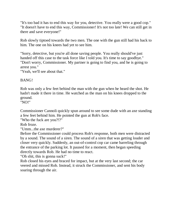"It's too bad it has to end this way for you, detective. You really were a good cop." "It doesn't have to end this way, Commissioner! It's not too late! We can still get in there and save everyone!"

Rob slowly tiptoed towards the two men. The one with the gun still had his back to him. The one on his knees had yet to see him.

"Sorry, detective, but you're all done saving people. You really should've just handed off this case to the task force like I told you. It's time to say goodbye." "Don't worry, Commissioner. My partner is going to find you, and he is going to arrest you."

"Yeah, we'll see about that."

#### BANG!

Rob was only a few feet behind the man with the gun when he heard the shot. He hadn't made it there in time. He watched as the man on his knees dropped to the ground.

"NO!"

Commissioner Cannoli quickly spun around to see some dude with an axe standing a few feet behind him. He pointed the gun at Rob's face.

"Who the fuck are you?!?"

Rob froze.

"Umm...the axe murderer?"

Before the Commissioner could process Rob's response, both men were distracted by a sound. The sound of a siren. The sound of a siren that was getting louder and closer very quickly. Suddenly, an out-of-control cop car came barreling through the entrance of the parking lot. It paused for a moment, then began speeding directly towards Rob. He had no time to react.

"Oh shit, this is gonna suck!"

Rob closed his eyes and braced for impact, but at the very last second; the car veered and missed Rob. Instead, it struck the Commissioner, and sent his body soaring through the air.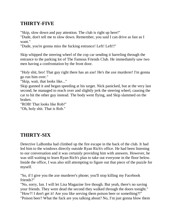# **THIRTY-FIVE**

"Skip, slow down and pay attention. The club is right up here!"

"Dude, don't tell me to slow down. Remember, you said I can drive as fast as I want."

"Dude, you're gonna miss the fucking entrance! Left! Left!!"

Skip whipped the steering wheel of the cop car sending it barreling through the entrance to the parking lot of The Famous Friends Club. He immediately saw two men having a confrontation by the front door.

"Holy shit, bro! That guy right there has an axe! He's the axe murderer! I'm gonna go run him over."

"Skip, wait, that looks like..."

Skip gunned it and began speeding at his target. Nick panicked, but at the very last second; he managed to reach over and slightly jerk the steering wheel, causing the car to hit the other guy instead. The body went flying, and Skip slammed on the brakes.

"ROB! That looks like Rob!"

"Oh, holy shit. That is Rob."

# **THIRTY-SIX**

Detective LaBomba had climbed up the fire escape in the back of the club. It had led him to the windows directly outside Ryan Rich's office. He had been listening to our conversation and it was certainly providing him with answers. However, he was still waiting to learn Ryan Rich's plan to take out everyone in the floor below. Inside the office, I was also still attempting to figure out that piece of the puzzle for myself.

"So, if I give you the axe murderer's phone; you'll stop killing my Facebook friends?"

"No, sorry, Ian. I will let Lisa Magazine live though. But yeah, there's no saving your friends. They were dead the second they walked through the doors tonight." "How?! I don't get it! Are you like serving them poison beer or something?!" "Poison beer? What the fuck are you talking about? No, I'm just gonna blow them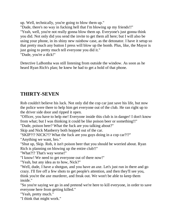up. Well, technically, you're going to blow them up."

"Dude, there's no way in fucking hell that I'm blowing up my friends!!" "Yeah, well, you're not really gonna blow them up. Everyone's just gonna think you did. Not only did you send the invite to get them all here; but I will also be using your phone, in its shiny new rainbow case, as the detonator. I have it setup so that pretty much any button I press will blow up the bomb. Plus, like, the Mayor is just going to pretty much tell everyone you did it."

"Dude, you're a dick!"

Detective LaBomba was still listening from outside the window. As soon as he heard Ryan Rich's plan; he knew he had to get a hold of that phone.

# **THIRTY-SEVEN**

Rob couldn't believe his luck. Not only did the cop car just save his life, but now the police were there to help him get everyone out of the club. He ran right up to the driver side door and ripped it open.

"Officer, you have to help me! Everyone inside this club is in danger! I don't know from what; but I was thinking it could be like poison beer or something!!"

"Dude, poison beer? What the fuck are you talking about?"

Skip and Nick Manberry both hopped out of the car.

"SKIP?!? NICK?!? What the fuck are you guys doing in a cop car?!?"

"Anything we want, bro."

"Shut up, Skip. Rob, it isn't poison beer that you should be worried about. Ryan Rich is planning on blowing up the entire club!!"

"What?!? That's way worse!"

"I know! We need to get everyone out of there now!"

"Yeah, but any idea as to how, Nick?"

"Well, dude, I have a shotgun, and you have an axe. Let's just run in there and go crazy. I'll fire off a few shots to get people's attention, and then they'll see you, think you're the axe murderer, and freak out. We won't be able to keep them inside."

"So you're saying we go in and pretend we're here to kill everyone, in order to save everyone here from getting killed."

"Yeah, pretty much."

"I think that might work."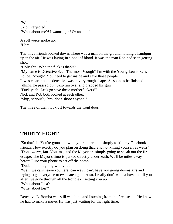"Wait a minute!" Skip interjected. "What about me?! I wanna gun! Or an axe!"

A soft voice spoke up. "Here."

The three friends looked down. There was a man on the ground holding a handgun up in the air. He was laying in a pool of blood. It was the man Rob had seen getting shot.

"Holy shit! Who the fuck is that?!?"

"My name is Detective Sean Thermos. \*cough\* I'm with the Young Lewis Falls Police. \*cough\* You need to get inside and save those people."

It was clear that the detective was in very rough shape. As soon as he finished talking, he passed out. Skip ran over and grabbed his gun.

"Fuck yeah! Let's go save these motherfuckers!"

Nick and Rob both looked at each other.

"Skip, seriously, bro; don't shoot anyone."

The three of them took off towards the front door.

### **THIRTY-EIGHT**

"So that's it. You're gonna blow up your entire club simply to kill my Facebook friends. How exactly do you plan on doing that, and not killing yourself as well?" "Don't worry, Ian. You, me, and the Mayor are simply going to sneak out the fire escape. The Mayor's limo is parked directly underneath. We'll be miles away before I use your phone to set off the bomb."

"Dude, I'm not going with you!"

"Well, we can't leave you here, can we? I can't have you going downstairs and trying to get everyone to evacuate again. Also, I really don't wanna have to kill you after I've gone through all the trouble of setting you up."

"What about Lisa?"

"What about her?"

Detective LaBomba was still watching and listening from the fire escape. He knew he had to make a move. He was just waiting for the right time.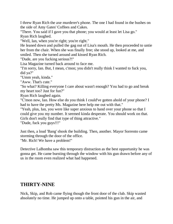I threw Ryan Rich the axe murderer's phone. The one I had found in the bushes on the side of Amy Gates' Coffees and Cakes.

"There. You said if I gave you that phone; you would at least let Lisa go." Ryan Rich laughed.

"Well, Ian, when you're right; you're right."

He leaned down and pulled the gag out of Lisa's mouth. He then proceeded to untie her from the chair. When she was finally free; she stood up, looked at me, and smiled. Then she turned around and kissed Ryan Rich.

"Dude, are you fucking serious?!"

Lisa Magazine turned back around to face me.

"I'm sorry, Ian. But, I mean, c'mon; you didn't really think I wanted to fuck you, did ya?"

"Umm yeah, kinda."

"Aww. That's cute."

"So what? Killing everyone I care about wasn't enough? You had to go and break my heart too? Just for fun?"

Ryan Rich laughed again.

"C'mon now, Ian. How else do you think I could've gotten ahold of your phone? I had to have the pretty Ms. Magazine here help me out with that."

"Yeah, plus, Ian, you were like super anxious to hand over your phone so that I could give you my number. It seemed kinda desperate. You should work on that. Girls don't really find that type of thing attractive."

"Dude, fuck you guys!!!"

Just then, a loud 'Bang' shook the building. Then, another. Mayor Sorrento came storming through the door of the office.

"Mr. Rich! We have a problem!"

Detective LaBomba saw this temporary distraction as the best opportunity he was gonna get. He came bursting through the window with his gun drawn before any of us in the room even realized what had happened.

### **THIRTY-NINE**

Nick, Skip, and Rob came flying though the front door of the club. Skip wasted absolutely no time. He jumped up onto a table, pointed his gun in the air, and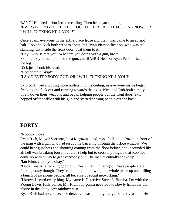BANG! He fired a shot into the ceiling. Then he began shouting. "EVERYBODY GET THE FUCK OUT OF HERE RIGHT FUCKING NOW, OR I WILL FUCKING KILL YOU!!"

Once again, everyone in the entire place froze and the music came to an abrupt halt. Rob and Nick both went to shout, but Ryan Piersonification, who was still standing just inside the front door, beat them to it.

"Hey, Skip. Is that you? What are you doing with a gun, bro?" Skip quickly turned, pointed the gun, and BANG! He shot Ryan Personification in the leg.

Nick just shook his head.

"God damnit, Skip!"

"I SAID EVERYBODY OUT, OR I WILL FUCKING KILL YOU!!!"

Skip continued shooting more bullets into the ceiling, as everyone inside began freaking the fuck out and running towards the exits. Nick and Rob both simply threw down their weapons and began helping people out the front door. Skip hopped off the table with his gun and started chasing people out the back.

# **FORTY**

"Nobody move!"

Ryan Rich, Mayor Sorrento, Lisa Magazine, and myself all stood frozen in front of the man with a gun who had just come barreling through the office window. We could hear gunshots and shouting coming from the floor below, and it sounded like all hell was breaking loose. I couldn't help but to cross my fingers that Rob had come up with a way to get everybody out. The man eventually spoke up. "Ian Kinney, are you okay?"

"Dude, finally, a fucking good guy. Yeah, man, I'm alright. These people are all fucking crazy though. They're planning on blowing this whole place up and killing a bunch of awesome people, all because of social networking."

"I know. I heard everything. My name is Detective Steve LaBomba. I'm with the Young Lewis Falls police. Mr. Rich, I'm gonna need you to slowly handover that phone in the shiny new rainbow case."

Ryan Rich had no choice. The detective was pointing the gun directly at him. He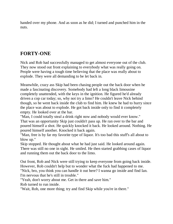handed over my phone. And as soon as he did; I turned and punched him in the nuts.

# **FORTY-ONE**

Nick and Rob had successfully managed to get almost everyone out of the club. They now stood out front explaining to everybody what was really going on. People were having a tough time believing that the place was really about to explode. They were all demanding to be let back in.

Meanwhile, crazy ass Skip had been chasing people out the back door when he made a fascinating discovery. Somebody had left a long black limousine completely unattended, with the keys in the ignition. He figured he'd already driven a cop car today; so, why not try a limo? He couldn't leave Nick behind though, so he went back inside the club to find him. He knew he had to hurry since the place was about to explode. He got back inside only to find it completely empty. He looked over at the bar.

"Man, I could totally steal a drink right now and nobody would ever know." That was an opportunity Skip just couldn't pass up. He ran over to the bar and poured himself a shot. He quickly knocked it back. He looked around. Nothing. He poured himself another. Knocked it back again.

"Man, free is by far my favorite type of liquor. It's too bad this stuff's all about to blow up."

Skip stopped. He thought about what he had just said. He looked around again. There was still no one in sight. He smiled. He then started grabbing cases of liquor and running them out the back door to the limo.

Out front, Rob and Nick were still trying to keep everyone from going back inside. However, Rob couldn't help but to wonder what the fuck had happened to me. "Nick, bro, you think you can handle it out here? I wanna go inside and find Ian. I'm nervous that he's still in trouble."

"Yeah, don't worry about me. Get in there and save him."

Rob turned to run inside.

"Wait, Rob, one more thing; try and find Skip while you're in there."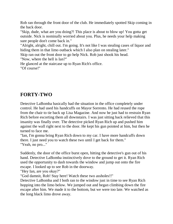Rob ran through the front door of the club. He immediately spotted Skip coming in the back door.

"Skip, dude, what are you doing?! This place is about to blow up! You gotta get outside. Nick is nominally worried about you. Plus, he needs your help making sure people don't come back in."

"Alright, alright, chill out. I'm going. It's not like I was stealing cases of liquor and hiding them in that limo outback which I also plan on stealing later."

Skip ran out the front door to go help Nick. Rob just shook his head.

"Now, where the hell is Ian?"

He glanced at the staircase up to Ryan Rich's office. "Of course!"

# **FORTY-TWO**

Detective LaBomba basically had the situation in the office completely under control. He had used his handcuffs on Mayor Sorrento. He had reused the rope from the chair to tie back up Lisa Magazine. And now he just had to restrain Ryan Rich before escorting them all downstairs. I was just sitting back relieved that this insanity was finally over. The detective picked Ryan Rich up and pushed him against the wall right next to the door. He kept his gun pointed at him, but then he turned to face me.

"Ian, I'm gonna bring Ryan Rich down to my car. I have more handcuffs down there. I just need you to watch these two until I get back for them." "Yeah, no pro..."

Suddenly, the door of the office burst open, hitting the detective's gun out of his hand. Detective LaBomba instinctively dove to the ground to get it. Ryan Rich used the opportunity to dash towards the window and jump out onto the fire escape. I looked up to see Rob in the doorway.

"Hey Ian, are you okay?"

"God damnit, Rob! Stay here! Watch these two assholes!!"

Detective LaBomba and I both ran to the window just in time to see Ryan Rich hopping into the limo below. We jumped out and began climbing down the fire escape after him. We made it to the bottom, but we were too late. We watched as the long black limo drove away.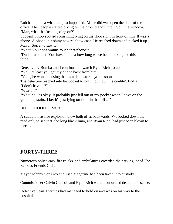Rob had no idea what had just happened. All he did was open the door of the office. Then people started diving on the ground and jumping out the window. "Man, what the fuck is going on?"

Suddenly, Rob spotted something lying on the floor right in front of him. It was a phone. A phone in a shiny new rainbow case. He reached down and picked it up. Mayor Sorrento saw it.

"Wait! You don't wanna touch that phone!"

"Dude, fuck that. You have no idea how long we've been looking for this damn thing!"

Detective LaBomba and I continued to watch Ryan Rich escape in the limo. "Well, at least you got my phone back from him."

"Yeah, he won't be using that as a detonator anytime soon."

The detective reached into his pocket to pull it out, but...he couldn't find it. "I don't have it!!"

"What?!?"

"Wait, no, it's okay. It probably just fell out of my pocket when I dove on the ground upstairs. I bet it's just lying on floor in that offi..."

#### BOOOOOOOOOOM!!!!!

A sudden, massive explosion blew both of us backwards. We looked down the road only to see that, the long black limo, and Ryan Rich, had just been blown to pieces.

# **FORTY-THREE**

Numerous police cars, fire trucks, and ambulances crowded the parking lot of The Famous Friends Club.

Mayor Johnny Sorrento and Lisa Magazine had been taken into custody.

Commissioner Calvin Cannoli and Ryan Rich were pronounced dead at the scene.

Detective Sean Thermos had managed to hold on and was on his way to the hospital.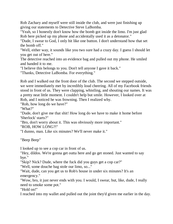Rob Zachary and myself were still inside the club, and were just finishing up giving our statements to Detective Steve LaBomba.

"Yeah, so I honestly don't know how the bomb got inside the limo. I'm just glad Rob here picked up my phone and accidentally used it as a detonator."

"Dude, I swear to God, I only hit like one button. I don't understand how that set the bomb off."

"Well, either way, it sounds like you two sure had a crazy day. I guess I should let you get out of here."

The detective reached into an evidence bag and pulled out my phone. He smiled and handed it to me.

"I believe this belongs to you. Don't tell anyone I gave it back."

"Thanks, Detective LaBomba. For everything."

Rob and I walked out the front door of the club. The second we stepped outside, we were immediately met by incredibly loud cheering. All of my Facebook friends stood in front of us. They were clapping, whistling, and shouting our names. It was a pretty neat little moment. I couldn't help but smile. However, I looked over at Rob, and I noticed he was frowning. Then I realized why.

"Rob, how long do we have?"

"What?"

"Dude, don't give me that shit! How long do we have to make it home before 'Sherlock' starts?"

"Bro, don't worry about it. This was obviously more important."

"ROB, HOW LONG?!"

"I dunno, man. Like six minutes? We'll never make it."

"Beep Beep"

I looked up to see a cop car in front of us.

"Hey, dildos. We're gonna get outta here and go get stoned. Just wanted to say bye."

"Skip? Nick? Dude, where the fuck did you guys get a cop car?"

"Well, some douche bag stole our limo, so..."

"Wait, dude, can you get us to Rob's house in under six minutes? It's an emergency."

"Wow, bro, it just never ends with you. I would, I swear, but, like, dude, I really need to smoke some pot."

"Hold on!"

I reached into my wallet and pulled out the joint they'd given me earlier in the day.